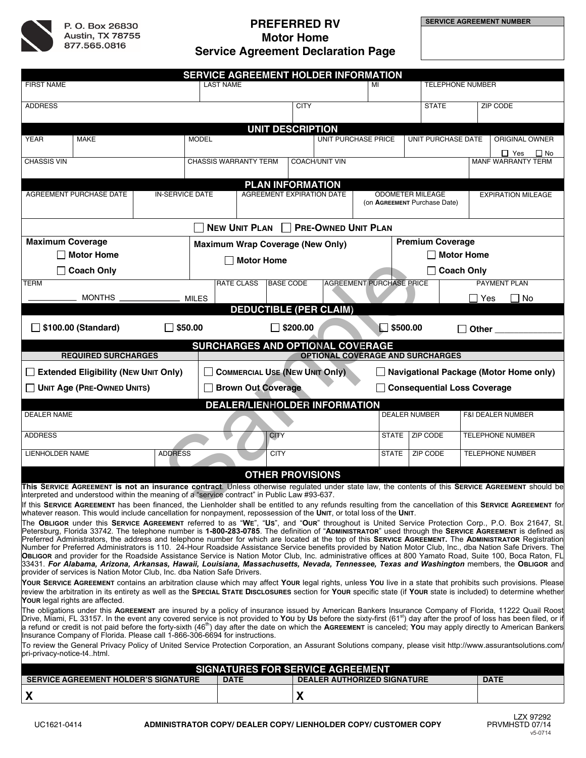

# **PREFERRED RV Motor Home Service Agreement Declaration Page**

|                                                                                                                                                                                                                                                                           |                                                                          |                                       |                                                       | SERVICE AGREEMENT HOLDER INFORMATION    |                  |                         |                                               |                   |                              |                         |  |            |                                                                                                                                                                                                                                                                                                                                            |  |
|---------------------------------------------------------------------------------------------------------------------------------------------------------------------------------------------------------------------------------------------------------------------------|--------------------------------------------------------------------------|---------------------------------------|-------------------------------------------------------|-----------------------------------------|------------------|-------------------------|-----------------------------------------------|-------------------|------------------------------|-------------------------|--|------------|--------------------------------------------------------------------------------------------------------------------------------------------------------------------------------------------------------------------------------------------------------------------------------------------------------------------------------------------|--|
| <b>FIRST NAME</b>                                                                                                                                                                                                                                                         |                                                                          |                                       |                                                       | <b>LAST NAME</b>                        |                  |                         |                                               |                   | <b>TELEPHONE NUMBER</b>      |                         |  |            |                                                                                                                                                                                                                                                                                                                                            |  |
| <b>ADDRESS</b>                                                                                                                                                                                                                                                            |                                                                          |                                       | <b>CITY</b>                                           |                                         |                  |                         |                                               | <b>STATE</b>      |                              |                         |  | ZIP CODE   |                                                                                                                                                                                                                                                                                                                                            |  |
|                                                                                                                                                                                                                                                                           |                                                                          |                                       |                                                       |                                         |                  |                         |                                               |                   |                              |                         |  |            |                                                                                                                                                                                                                                                                                                                                            |  |
| <b>YEAR</b>                                                                                                                                                                                                                                                               | <b>MAKE</b>                                                              |                                       | <b>MODEL</b>                                          |                                         |                  | <b>UNIT DESCRIPTION</b> |                                               |                   |                              |                         |  |            | ORIGINAL OWNER                                                                                                                                                                                                                                                                                                                             |  |
|                                                                                                                                                                                                                                                                           |                                                                          | <b>UNIT PURCHASE PRICE</b>            |                                                       |                                         |                  |                         | <b>UNIT PURCHASE DATE</b>                     |                   |                              |                         |  |            |                                                                                                                                                                                                                                                                                                                                            |  |
| <b>CHASSIS VIN</b>                                                                                                                                                                                                                                                        |                                                                          |                                       | <b>CHASSIS WARRANTY TERM</b><br><b>COACH/UNIT VIN</b> |                                         |                  |                         |                                               |                   |                              |                         |  |            | $\Box$ Yes<br>$\square$ No<br><b>MANF WARRANTY TERM</b>                                                                                                                                                                                                                                                                                    |  |
|                                                                                                                                                                                                                                                                           |                                                                          |                                       |                                                       |                                         |                  |                         |                                               |                   |                              |                         |  |            |                                                                                                                                                                                                                                                                                                                                            |  |
|                                                                                                                                                                                                                                                                           |                                                                          | <b>IN-SERVICE DATE</b>                |                                                       |                                         |                  |                         | <b>PLAN INFORMATION</b>                       |                   |                              | <b>ODOMETER MILEAGE</b> |  |            | <b>EXPIRATION MILEAGE</b>                                                                                                                                                                                                                                                                                                                  |  |
| AGREEMENT PURCHASE DATE                                                                                                                                                                                                                                                   |                                                                          |                                       | <b>AGREEMENT EXPIRATION DATE</b>                      |                                         |                  |                         |                                               |                   | (on AGREEMENT Purchase Date) |                         |  |            |                                                                                                                                                                                                                                                                                                                                            |  |
|                                                                                                                                                                                                                                                                           |                                                                          |                                       |                                                       |                                         |                  |                         |                                               |                   |                              |                         |  |            |                                                                                                                                                                                                                                                                                                                                            |  |
| <b>PRE-OWNED UNIT PLAN</b><br><b>NEW UNIT PLAN</b>                                                                                                                                                                                                                        |                                                                          |                                       |                                                       |                                         |                  |                         |                                               |                   |                              |                         |  |            |                                                                                                                                                                                                                                                                                                                                            |  |
| <b>Maximum Coverage</b>                                                                                                                                                                                                                                                   |                                                                          |                                       |                                                       | <b>Maximum Wrap Coverage (New Only)</b> |                  |                         |                                               |                   | <b>Premium Coverage</b>      |                         |  |            |                                                                                                                                                                                                                                                                                                                                            |  |
| $\Box$ Motor Home                                                                                                                                                                                                                                                         |                                                                          |                                       |                                                       | Motor Home                              |                  |                         |                                               |                   | <b>Motor Home</b>            |                         |  |            |                                                                                                                                                                                                                                                                                                                                            |  |
|                                                                                                                                                                                                                                                                           | $\Box$ Coach Only                                                        |                                       |                                                       |                                         |                  |                         |                                               | <b>Coach Only</b> |                              |                         |  |            |                                                                                                                                                                                                                                                                                                                                            |  |
| <b>TERM</b>                                                                                                                                                                                                                                                               |                                                                          |                                       |                                                       | <b>RATE CLASS</b>                       | <b>BASE CODE</b> |                         | <b>AGREEMENT PURCHASE PRICE</b>               |                   |                              |                         |  |            | PAYMENT PLAN                                                                                                                                                                                                                                                                                                                               |  |
|                                                                                                                                                                                                                                                                           | MONTHS _                                                                 |                                       | <b>MILES</b>                                          |                                         |                  |                         |                                               |                   |                              |                         |  | $\Box$ Yes | $\Box$ No                                                                                                                                                                                                                                                                                                                                  |  |
|                                                                                                                                                                                                                                                                           |                                                                          |                                       |                                                       |                                         |                  |                         | <b>DEDUCTIBLE (PER CLAIM)</b>                 |                   |                              |                         |  |            |                                                                                                                                                                                                                                                                                                                                            |  |
|                                                                                                                                                                                                                                                                           | □ \$100.00 (Standard)                                                    | \$50.00                               |                                                       |                                         |                  | $\Box$ \$200.00         |                                               |                   | $\Box$ \$500.00              |                         |  | Other      |                                                                                                                                                                                                                                                                                                                                            |  |
|                                                                                                                                                                                                                                                                           |                                                                          |                                       |                                                       | <b>SURCHARGES AND OPTIONAL COVERAGE</b> |                  |                         |                                               |                   |                              |                         |  |            |                                                                                                                                                                                                                                                                                                                                            |  |
|                                                                                                                                                                                                                                                                           | <b>REQUIRED SURCHARGES</b>                                               |                                       |                                                       |                                         |                  |                         | <b>OPTIONAL COVERAGE AND SURCHARGES</b>       |                   |                              |                         |  |            |                                                                                                                                                                                                                                                                                                                                            |  |
| <b>Extended Eligibility (NEW UNIT Only)</b>                                                                                                                                                                                                                               |                                                                          | <b>COMMERCIAL USE (NEW UNIT Only)</b> |                                                       |                                         |                  |                         | <b>Navigational Package (Motor Home only)</b> |                   |                              |                         |  |            |                                                                                                                                                                                                                                                                                                                                            |  |
| <b>UNIT Age (PRE-OWNED UNITS)</b><br><b>Brown Out Coverage</b><br>□ Consequential Loss Coverage                                                                                                                                                                           |                                                                          |                                       |                                                       |                                         |                  |                         |                                               |                   |                              |                         |  |            |                                                                                                                                                                                                                                                                                                                                            |  |
| <b>DEALER/LIENHOLDER INFORMATION</b>                                                                                                                                                                                                                                      |                                                                          |                                       |                                                       |                                         |                  |                         |                                               |                   |                              |                         |  |            |                                                                                                                                                                                                                                                                                                                                            |  |
| <b>DEALER NAME</b>                                                                                                                                                                                                                                                        |                                                                          |                                       |                                                       |                                         |                  |                         |                                               |                   |                              | <b>DEALER NUMBER</b>    |  |            | <b>F&amp;I DEALER NUMBER</b>                                                                                                                                                                                                                                                                                                               |  |
| <b>ADDRESS</b>                                                                                                                                                                                                                                                            |                                                                          |                                       |                                                       |                                         | <b>CITY</b>      |                         |                                               |                   | STATE                        | ZIP CODE                |  |            | <b>TELEPHONE NUMBER</b>                                                                                                                                                                                                                                                                                                                    |  |
| LIENHOLDER NAME                                                                                                                                                                                                                                                           |                                                                          | <b>ADDRESS</b>                        |                                                       |                                         | <b>CITY</b>      |                         |                                               |                   | <b>STATE</b>                 | ZIP CODE                |  |            | <b>TELEPHONE NUMBER</b>                                                                                                                                                                                                                                                                                                                    |  |
|                                                                                                                                                                                                                                                                           |                                                                          |                                       |                                                       |                                         |                  |                         |                                               |                   |                              |                         |  |            |                                                                                                                                                                                                                                                                                                                                            |  |
|                                                                                                                                                                                                                                                                           |                                                                          |                                       |                                                       |                                         |                  |                         | <b>OTHER PROVISIONS</b>                       |                   |                              |                         |  |            |                                                                                                                                                                                                                                                                                                                                            |  |
| This SERVICE AGREEMENT is not an insurance contract. Unless otherwise regulated under state law, the contents of this SERVICE AGREEMENT should be<br>interpreted and understood within the meaning of a "service contract" in Public Law #93-637.                         |                                                                          |                                       |                                                       |                                         |                  |                         |                                               |                   |                              |                         |  |            |                                                                                                                                                                                                                                                                                                                                            |  |
| If this SERVICE AGREEMENT has been financed, the Lienholder shall be entitled to any refunds resulting from the cancellation of this SERVICE AGREEMENT for                                                                                                                |                                                                          |                                       |                                                       |                                         |                  |                         |                                               |                   |                              |                         |  |            |                                                                                                                                                                                                                                                                                                                                            |  |
| whatever reason. This would include cancellation for nonpayment, repossession of the UNIT, or total loss of the UNIT.<br>The OBLIGOR under this SERVICE AGREEMENT referred to as "WE", "US", and "OUR" throughout is United Service Protection Corp., P.O. Box 21647, St. |                                                                          |                                       |                                                       |                                         |                  |                         |                                               |                   |                              |                         |  |            |                                                                                                                                                                                                                                                                                                                                            |  |
|                                                                                                                                                                                                                                                                           |                                                                          |                                       |                                                       |                                         |                  |                         |                                               |                   |                              |                         |  |            | Petersburg, Florida 33742. The telephone number is 1-800-283-0785. The definition of "ADMINISTRATOR" used through the SERVICE AGREEMENT is defined as                                                                                                                                                                                      |  |
|                                                                                                                                                                                                                                                                           |                                                                          |                                       |                                                       |                                         |                  |                         |                                               |                   |                              |                         |  |            | Preferred Administrators, the address and telephone number for which are located at the top of this SERVICE AGREEMENT. The ADMINISTRATOR Registration<br>Number for Preferred Administrators is 110. 24-Hour Roadside Assistance Service benefits provided by Nation Motor Club, Inc., dba Nation Safe Drivers. The                        |  |
|                                                                                                                                                                                                                                                                           |                                                                          |                                       |                                                       |                                         |                  |                         |                                               |                   |                              |                         |  |            | OBLIGOR and provider for the Roadside Assistance Service is Nation Motor Club, Inc. administrative offices at 800 Yamato Road, Suite 100, Boca Raton, FL                                                                                                                                                                                   |  |
|                                                                                                                                                                                                                                                                           | provider of services is Nation Motor Club, Inc. dba Nation Safe Drivers. |                                       |                                                       |                                         |                  |                         |                                               |                   |                              |                         |  |            | 33431. For Alabama, Arizona, Arkansas, Hawaii, Louisiana, Massachusetts, Nevada, Tennessee, Texas and Washington members, the OBLIGOR and                                                                                                                                                                                                  |  |
|                                                                                                                                                                                                                                                                           |                                                                          |                                       |                                                       |                                         |                  |                         |                                               |                   |                              |                         |  |            | Your SERVICE AGREEMENT contains an arbitration clause which may affect Your legal rights, unless You live in a state that prohibits such provisions. Please                                                                                                                                                                                |  |
|                                                                                                                                                                                                                                                                           | Your legal rights are affected.                                          |                                       |                                                       |                                         |                  |                         |                                               |                   |                              |                         |  |            | review the arbitration in its entirety as well as the SPECIAL STATE DISCLOSURES section for YOUR specific state (if YOUR state is included) to determine whether                                                                                                                                                                           |  |
|                                                                                                                                                                                                                                                                           |                                                                          |                                       |                                                       |                                         |                  |                         |                                               |                   |                              |                         |  |            | The obligations under this AGREEMENT are insured by a policy of insurance issued by American Bankers Insurance Company of Florida, 11222 Quail Roost<br>Drive, Miami, FL 33157. In the event any covered service is not provided to You by Us before the sixty-first (61 <sup>st</sup> ) day after the proof of loss has been filed, or if |  |
|                                                                                                                                                                                                                                                                           |                                                                          |                                       |                                                       |                                         |                  |                         |                                               |                   |                              |                         |  |            | a refund or credit is not paid before the forty-sixth (46 <sup>th</sup> ) day after the date on which the AGREEMENT is canceled; You may apply directly to American Bankers                                                                                                                                                                |  |
| Insurance Company of Florida. Please call 1-866-306-6694 for instructions.<br>To review the General Privacy Policy of United Service Protection Corporation, an Assurant Solutions company, please visit http://www.assurantsolutions.com/                                |                                                                          |                                       |                                                       |                                         |                  |                         |                                               |                   |                              |                         |  |            |                                                                                                                                                                                                                                                                                                                                            |  |
| pri-privacy-notice-t4html.                                                                                                                                                                                                                                                |                                                                          |                                       |                                                       |                                         |                  |                         |                                               |                   |                              |                         |  |            |                                                                                                                                                                                                                                                                                                                                            |  |
|                                                                                                                                                                                                                                                                           |                                                                          |                                       |                                                       | <b>SIGNATURES FOR SERVICE AGREEMENT</b> |                  |                         |                                               |                   |                              |                         |  |            |                                                                                                                                                                                                                                                                                                                                            |  |
|                                                                                                                                                                                                                                                                           | <b>SERVICE AGREEMENT HOLDER'S SIGNATURE</b>                              |                                       |                                                       | <b>DATE</b>                             |                  |                         | <b>DEALER AUTHORIZED SIGNATURE</b>            |                   |                              |                         |  |            | <b>DATE</b>                                                                                                                                                                                                                                                                                                                                |  |
| X                                                                                                                                                                                                                                                                         |                                                                          |                                       | X                                                     |                                         |                  |                         |                                               |                   |                              |                         |  |            |                                                                                                                                                                                                                                                                                                                                            |  |
|                                                                                                                                                                                                                                                                           |                                                                          |                                       |                                                       |                                         |                  |                         |                                               |                   |                              |                         |  |            |                                                                                                                                                                                                                                                                                                                                            |  |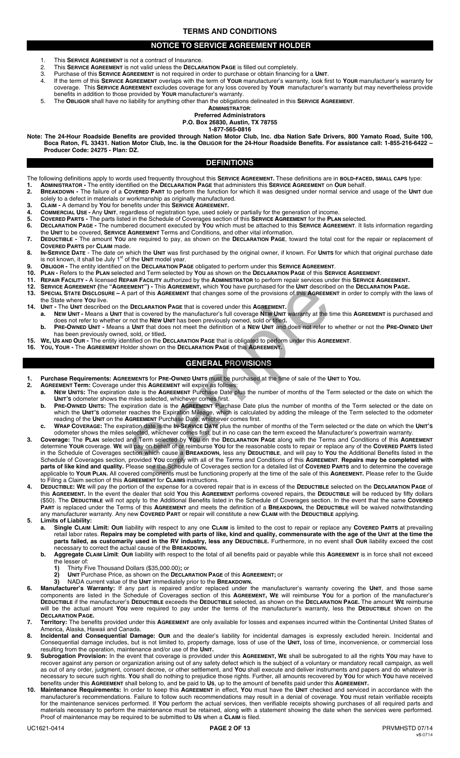# **TERMS AND CONDITIONS**

# **NOTICE TO SERVICE AGREEMENT HOLDER**

- This **SERVICE AGREEMENT** is not a contract of Insurance.
- 2. This **SERVICE AGREEMENT** is not valid unless the **DECLARATION PAGE** is filled out completely.
- 3. Purchase of this **SERVICE AGREEMENT** is not required in order to purchase or obtain financing for a **UNIT**.
- 4. If the term of this **SERVICE AGREEMENT** overlaps with the term of **YOUR** manufacturer's warranty, look first to **YOUR** manufacturer's warranty for coverage. This **SERVICE AGREEMENT** excludes coverage for any loss covered by **YOUR** manufacturer's warranty but may nevertheless provide benefits in addition to those provided by **YOUR** manufacturer's warranty.
- 5. The **OBLIGOR** shall have no liability for anything other than the obligations delineated in this **SERVICE AGREEMENT**.

#### **ADMINISTRATOR**: **Preferred Administrators**

#### **P.O. Box 26830, Austin, TX 78755**

**1-877-565-0816** 

**Note: The 24-Hour Roadside Benefits are provided through Nation Motor Club, Inc. dba Nation Safe Drivers, 800 Yamato Road, Suite 100, Boca Raton, FL 33431. Nation Motor Club, Inc. is the OBLIGOR for the 24-Hour Roadside Benefits. For assistance call: 1-855-216-6422 – Producer Code: 24275 - Plan: DZ.**

# **DEFINITIONS**

- The following definitions apply to words used frequently throughout this **SERVICE AGREEMENT.** These definitions are in **BOLD-FACED, SMALL CAPS** type:
- **1. ADMINISTRATOR** The entity identified on the **DECLARATION PAGE** that administers this **SERVICE AGREEMENT** on **OUR** behalf.
- **2. BREAKDOWN -** The failure of a **COVERED PART** to perform the function for which it was designed under normal service and usage of the **UNIT** due solely to a defect in materials or workmanship as originally manufactured.
- **3. CLAIM -** A demand by **YOU** for benefits under this **SERVICE AGREEMENT.**
- **4. COMMERCIAL USE -** Any **UNIT**, regardless of registration type, used solely or partially for the generation of income.
- **5. COVERED PARTS -** The parts listed in the Schedule of Coverages section of this **SERVICE AGREEMENT** for the **PLAN** selected. **6. DECLARATION PAGE -** The numbered document executed by **YOU** which must be attached to this **SERVICE AGREEMENT**. It lists information regarding the **UNIT** to be covered, **SERVICE AGREEMENT** Terms and Conditions, and other vital information.
- **7. DEDUCTIBLE -** The amount **YOU** are required to pay, as shown on the **DECLARATION PAGE**, toward the total cost for the repair or replacement of **COVERED PARTS** per **CLAIM** made.
- 8. IN-SERVICE DATE The date on which the UNIT was first purchased by the original owner, if known. For UNITS for which that original purchase date is not known, it shall be July 1<sup>st</sup> of the UNIT model year.
- **9. OBLIGOR -** The entity identified on the **DECLARATION PAGE** obligated to perform under this **SERVICE AGREEMENT**.
- **10. PLAN -** Refers to the **PLAN** selected and Term selected by **YOU** as shown on the **DECLARATION PAGE** of this **SERVICE AGREEMENT**.
- **11. REPAIR FACILITY -** A licensed **REPAIR FACILITY** authorized by the **ADMINISTRATOR** to perform repair services under this **SERVICE AGREEMENT.**
- **12. SERVICE AGREEMENT (**the **"AGREEMENT") -** This **AGREEMENT,** which **YOU** have purchased for the **UNIT** described on the **DECLARATION PAGE.**
- **13. SPECIAL STATE DISCLOSURE –** A part of this **AGREEMENT** that changes some of the provisions of this **AGREEMENT** in order to comply with the laws of the State where **YOU** live.
- **14. UNIT -** The **UNIT** described on the **DECLARATION PAGE** that is covered under this **AGREEMENT.**
- **a. NEW UNIT -** Means a **UNIT** that is covered by the manufacturer's full coverage **N**E**W UNIT** warranty at the time this **AGREEMENT** is purchased and does not refer to whether or not the **NEW UNIT** has been previously owned, sold or titled**.**
- **b. PRE-OWNED UNIT** Means a **UNIT** that does not meet the definition of a **NEW UNIT** and does not refer to whether or not the **PRE-OWNED UNIT**  has been previously owned, sold, or titled**.**
- **15. WE, US AND OUR -** The entity identified on the **DECLARATION PAGE** that is obligated to perform under this **AGREEMENT**.
- **16. YOU, YOUR -** The **AGREEMENT** Holder shown on the **DECLARATION PAGE** of this **AGREEMENT.**

# **GENERAL PROVISIONS**

- **1. Purchase Requirements: AGREEMENTS** for **PRE-OWNED UNITS** must be purchased at the time of sale of the **UNIT** to **YOU.**
- **2. AGREEMENT Term:** Coverage under this **AGREEMENT** will expire as follows:
- **a. NEW UNITS:** The expiration date is the **AGREEMENT** Purchase Date plus the number of months of the Term selected or the date on which the **UNIT'S** odometer shows the miles selected, whichever comes first.
- **b. PRE-OWNED UNITS:** The expiration date is the **AGREEMENT** Purchase Date plus the number of months of the Term selected or the date on which the **UNIT'S** odometer reaches the Expiration Mileage, which is calculated by adding the mileage of the Term selected to the odometer reading of the **UNIT** on the **AGREEMENT** Purchase Date, whichever comes first.
- **c. WRAP COVERAGE:** The expiration date is the **IN-SERVICE DATE** plus the number of months of the Term selected or the date on which the **UNIT'S**  odometer shows the miles selected, whichever comes first, but in no case can the term exceed the Manufacturer's powertrain warranty.
- **3. Coverage:** The **PLAN** selected and Term selected by **YOU** on the **DECLARATION PAGE** along with the Terms and Conditions of this **AGREEMENT**  determine **YOUR** coverage. **WE** will pay on behalf of or reimburse **YOU** for the reasonable costs to repair or replace any of the **COVERED PARTS** listed in the Schedule of Coverages section which cause a **BREAKDOWN,** less any **DEDUCTIBLE**, and will pay to **YOU** the Additional Benefits listed in the Schedule of Coverages section, provided **YOU** comply with all of the Terms and Conditions of this **AGREEMENT**. **Repairs may be completed with parts of like kind and quality.** Please see the Schedule of Coverages section for a detailed list of **COVERED PARTS** and to determine the coverage applicable to **YOUR PLAN.** All covered components must be functioning properly at the time of the sale of this **AGREEMENT.** Please refer to the Guide to Filing a Claim section of this **AGREEMENT** for **CLAIMS** instructions. EMENT") - This AGREEMENT which YOU have purchased for the UNIT describe<br>part of this AGREEMENT that changes some of the provisions of this AGREEMENT<br>and this AGREEMENT that is covered under this AGREEMENT.<br>That is covered
- **4. DEDUCTIBLE: WE** will pay the portion of the expense for a covered repair that is in excess of the **DEDUCTIBLE** selected on the **DECLARATION PAGE** of this **AGREEMENT.** In the event the dealer that sold **YOU** this **AGREEMENT** performs covered repairs, the **DEDUCTIBLE** will be reduced by fifty dollars (\$50). The **DEDUCTIBLE** will not apply to the Additional Benefits listed in the Schedule of Coverages section. In the event that the same **COVERED PART** is replaced under the Terms of this **AGREEMENT** and meets the definition of a **BREAKDOWN,** the **DEDUCTIBLE** will be waived notwithstanding any manufacturer warranty. Any new **COVERED PART** or repair will constitute a new **CLAIM** with the **DEDUCTIBLE** applying.

**5. Limits of Liability:**

- **a. Single CLAIM Limit: OUR** liability with respect to any one **CLAIM** is limited to the cost to repair or replace any **COVERED PARTS** at prevailing retail labor rates. **Repairs may be completed with parts of like, kind and quality, commensurate with the age of the UNIT at the time the parts failed, as customarily used in the RV industry, less any DEDUCTIBLE.** Furthermore, in no event shall **OUR** liability exceed the cost necessary to correct the actual cause of the **BREAKDOWN.**
- **b. Aggregate CLAIM Limit**: **OUR** liability with respect to the total of all benefits paid or payable while this **AGREEMENT** is in force shall not exceed the lesser of:<br>1) Thirty Fi
	- **1)** Thirty Five Thousand Dollars (\$35,000.00)**;** or
	- **2) UNIT** Purchase Price, as shown on the **DECLARATION PAGE** of this **AGREEMENT;** or
- **3)** NADA current value of the UNIT immediately prior to the **BREAKDOWN.**<br>**6.** Manufacturer's Warranty: If any part is repaired and/or replaced under the
- **6. Manufacturer's Warranty:** If any part is repaired and/or replaced under the manufacturer's warranty covering the **UNIT**, and those same components are listed in the Schedule of Coverages section of this **AGREEMENT, WE** will reimburse **YOU** for a portion of the manufacturer's **DEDUCTIBLE** if the manufacturer's **DEDUCTIBLE** exceeds the **DEDUCTIBLE** selected, as shown on the **DECLARATION PAGE.** The amount **WE** reimburse will be the actual amount **YOU** were required to pay under the terms of the manufacturer's warranty, less the **DEDUCTIBLE** shown on the **DECLARATION PAGE.**
- **7. Territory:** The benefits provided under this **AGREEMENT** are only available for losses and expenses incurred within the Continental United States of America, Alaska, Hawaii and Canada.
- **8. Incidental and Consequential Damage: OUR** and the dealer's liability for incidental damages is expressly excluded herein. Incidental and Consequential damage includes, but is not limited to, property damage, loss of use of the **UNIT,** loss of time, inconvenience, or commercial loss resulting from the operation, maintenance and/or use of the **UNIT.**
- **9. Subrogation Provision:** In the event that coverage is provided under this **AGREEMENT, WE** shall be subrogated to all the rights **YOU** may have to recover against any person or organization arising out of any safety defect which is the subject of a voluntary or mandatory recall campaign, as well as out of any order, judgment, consent decree, or other settlement, and **YOU** shall execute and deliver instruments and papers and do whatever is necessary to secure such rights. **YOU** shall do nothing to prejudice those rights. Further, all amounts recovered by **YOU** for which **YOU** have received benefits under this **AGREEMENT** shall belong to, and be paid to **US**, up to the amount of benefits paid under this **AGREEMENT.**
- **10. Maintenance Requirements:** In order to keep this **AGREEMENT** in effect, **YOU** must have the **UNIT** checked and serviced in accordance with the manufacturer's recommendations. Failure to follow such recommendations may result in a denial of coverage. **YOU** must retain verifiable receipts for the maintenance services performed. If **YOU** perform the actual services, then verifiable receipts showing purchases of all required parts and materials necessary to perform the maintenance must be retained, along with a statement showing the date when the services were performed. Proof of maintenance may be required to be submitted to **US** when a **CLAIM** is filed.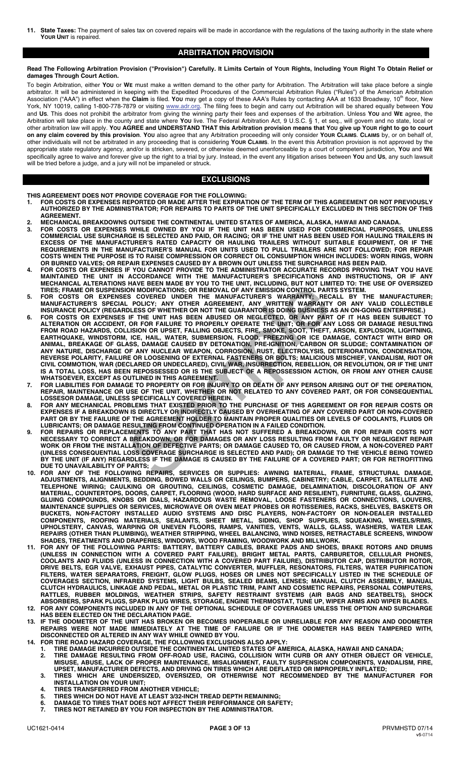**11. State Taxes:** The payment of sales tax on covered repairs will be made in accordance with the regulations of the taxing authority in the state where **YOUR UNIT** is repaired.

# **ARBITRATION PROVISION**

**Read The Following Arbitration Provision ("Provision") Carefully. It Limits Certain of YOUR Rights, Including YOUR Right To Obtain Relief or damages Through Court Action.** 

To begin Arbitration, either **YOU** or **WE** must make a written demand to the other party for Arbitration. The Arbitration will take place before a single arbitrator. It will be administered in keeping with the Expedited Procedures of the Commercial Arbitration Rules ("Rules") of the American Arbitration<br>Association ("AAA") in effect when the **Claim** is filed. **You** may get York, NY 10019, calling 1-800-778-7879 or visiting www.adr.org. The filing fees to begin and carry out Arbitration will be shared equally between **YOU** and **US**. This does not prohibit the arbitrator from giving the winning party their fees and expenses of the arbitration. Unless **YOU** and **WE** agree, the Arbitration will take place in the county and state where **YOU** live. The Federal Arbitration Act, 9 U.S.C. § 1, et seq., will govern and no state, local or other arbitration law will apply. **YOU AGREE and UNDERSTAND THAT this Arbitration provision means that YOU give up YOUR right to go to court on any claim covered by this provision**. **YOU** also agree that any Arbitration proceeding will only consider **YOUR CLAIMS**. **CLAIMS** by, or on behalf of, other individuals will not be arbitrated in any proceeding that is considering **YOUR CLAIMS**. In the event this Arbitration provision is not approved by the appropriate state regulatory agency, and/or is stricken, severed, or otherwise deemed unenforceable by a court of competent jurisdiction, **YOU** and **WE** specifically agree to waive and forever give up the right to a trial by jury. Instead, in the event any litigation arises between **YOU** and **US**, any such lawsuit will be tried before a judge, and a jury will not be impaneled or struck.

# **EXCLUSIONS**

**THIS AGREEMENT DOES NOT PROVIDE COVERAGE FOR THE FOLLOWING:** 

- **1. FOR COSTS OR EXPENSES REPORTED OR MADE AFTER THE EXPIRATION OF THE TERM OF THIS AGREEMENT OR NOT PREVIOUSLY AUTHORIZED BY THE ADMINISTRATOR; FOR REPAIRS TO PARTS OF THE UNIT SPECIFICALLY EXCLUDED IN THIS SECTION OF THIS AGREEMENT.**
- **2. MECHANICAL BREAKDOWNS OUTSIDE THE CONTINENTAL UNITED STATES OF AMERICA, ALASKA, HAWAII AND CANADA. 3. FOR COSTS OR EXPENSES WHILE OWNED BY YOU IF THE UNIT HAS BEEN USED FOR COMMERCIAL PURPOSES, UNLESS COMMERCIAL USE SURCHARGE IS SELECTED AND PAID, OR RACING; OR IF THE UNIT HAS BEEN USED FOR HAULING TRAILERS IN EXCESS OF THE MANUFACTURER'S RATED CAPACITY OR HAULING TRAILERS WITHOUT SUITABLE EQUIPMENT, OR IF THE REQUIREMENTS IN THE MANUFACTURER'S MANUAL FOR UNITS USED TO PULL TRAILERS ARE NOT FOLLOWED; FOR REPAIR COSTS WHEN THE PURPOSE IS TO RAISE COMPRESSION OR CORRECT OIL CONSUMPTION WHICH INCLUDES: WORN RINGS, WORN OR BURNED VALVES; OR REPAIR EXPENSES CAUSED BY A BROWN OUT UNLESS THE SURCHARGE HAS BEEN PAID.**
- **4. FOR COSTS OR EXPENSES IF YOU CANNOT PROVIDE TO THE ADMINISTRATOR ACCURATE RECORDS PROVING THAT YOU HAVE MAINTAINED THE UNIT IN ACCORDANCE WITH THE MANUFACTURER'S SPECIFICATIONS AND INSTRUCTIONS, OR IF ANY MECHANICAL ALTERATIONS HAVE BEEN MADE BY YOU TO THE UNIT, INCLUDING, BUT NOT LIMITED TO: THE USE OF OVERSIZED TIRES; FRAME OR SUSPENSION MODIFICATIONS; OR REMOVAL OF ANY EMISSION CONTROL PARTS SYSTEM.**
- **5. FOR COSTS OR EXPENSES COVERED UNDER THE MANUFACTURER'S WARRANTY; RECALL BY THE MANUFACTURER; MANUFACTURER'S SPECIAL POLICY; ANY OTHER AGREEMENT, ANY WRITTEN WARRANTY OR ANY VALID COLLECTIBLE INSURANCE POLICY (REGARDLESS OF WHETHER OR NOT THE GUARANTOR IS DOING BUSINESS AS AN ON-GOING ENTERPRISE.)**
- **6. FOR COSTS OR EXPENSES IF THE UNIT HAS BEEN ABUSED OR NEGLECTED, OR ANY PART OF IT HAS BEEN SUBJECT TO ALTERATION OR ACCIDENT, OR FOR FAILURE TO PROPERLY OPERATE THE UNIT; OR FOR ANY LOSS OR DAMAGE RESULTING FROM ROAD HAZARDS, COLLISION OR UPSET, FALLING OBJECTS, FIRE, SMOKE, SOOT, THEFT, ARSON, EXPLOSION, LIGHTNING, EARTHQUAKE, WINDSTORM, ICE, HAIL, WATER, SUBMERSION, FLOOD, FREEZING OR ICE DAMAGE, CONTACT WITH BIRD OR ANIMAL, BREAKAGE OF GLASS, DAMAGE CAUSED BY DETONATION, PRE-IGNITION, CARBON OR SLUDGE; CONTAMINATION OF ANY NATURE, DISCHARGE OF ANY NUCLEAR WEAPON, CORROSION, RUST, ELECTROLYSIS, DETERIORATION, CONDENSATION, REVERSE POLARITY, FAILURE OR LOOSENING OF EXTERNAL FASTENERS OR BOLTS; MALICIOUS MISCHIEF, VANDALISM, RIOT OR CIVIL COMMOTION, WAR (DECLARED OR UNDECLARED), CIVIL WAR, INSURRECTION, REBELLION, OR REVOLUTION, OR IF THE UNIT IS A TOTAL LOSS, HAS BEEN REPOSSESSED OR IS THE SUBJECT OF A REPOSSESSION ACTION, OR FROM ANY OTHER CAUSE WHATSOEVER, EXCEPT AS OUTLINED IN THIS AGREEMENT.**  "INNUCLAIRED UNITS ARREST ON THE MANUFACTURES: ROWERENT AND MODIFICATIONS; OR REMOVAL OF ANY EMISSION CONTROL PART<br>L. POLICY; ANY OTHER HARD AND MACTURER'S WARRANTY; RECOVERS COVERED UNITS DESIGNETS. THE UNITS DESIGNATION
- **7. FOR LIABILITIES FOR DAMAGE TO PROPERTY OR FOR INJURY TO OR DEATH OF ANY PERSON ARISING OUT OF THE OPERATION, REPAIR, MAINTENANCE OR USE OF THE UNIT, WHETHER OR NOT RELATED TO ANY COVERED PART, OR FOR CONSEQUENTIAL LOSSESOR DAMAGE, UNLESS SPECIFICALLY COVERED HEREIN.**
- **8. FOR ANY MECHANICAL PROBLEMS THAT EXISTED PRIOR TO THE PURCHASE OF THIS AGREEMENT OR FOR REPAIR COSTS OR EXPENSES IF A BREAKDOWN IS DIRECTLY OR INDIRECTLY CAUSED BY OVERHEATING OF ANY COVERED PART OR NON-COVERED PART OR BY THE FAILURE OF THE AGREEMENT HOLDER TO MAINTAIN PROPER QUALITIES OR LEVELS OF COOLANTS, FLUIDS OR LUBRICANTS; OR DAMAGE RESULTING FROM CONTINUED OPERATION IN A FAILED CONDITION.**
- **9. FOR REPAIRS OR REPLACEMENTS TO ANY PART THAT HAS NOT SUFFERED A BREAKDOWN, OR FOR REPAIR COSTS NOT NECESSARY TO CORRECT A BREAKDOWN, OR FOR DAMAGES OR ANY LOSS RESULTING FROM FAULTY OR NEGLIGENT REPAIR WORK OR FROM THE INSTALLATION OF DEFECTIVE PARTS; OR DAMAGE CAUSED TO, OR CAUSED FROM, A NON-COVERED PART (UNLESS CONSEQUENTIAL LOSS COVERAGE SURCHARGE IS SELECTED AND PAID); OR DAMAGE TO THE VEHICLE BEING TOWED BY THE UNIT (IF ANY) REGARDLESS IF THE DAMAGE IS CAUSED BY THE FAILURE OF A COVERED PART; OR FOR RETROFITTING DUE TO UNAVAILABILITY OF PARTS;**
- **10. FOR ANY OF THE FOLLOWING REPAIRS, SERVICES OR SUPPLIES: AWNING MATERIAL, FRAME, STRUCTURAL DAMAGE, ADJUSTMENTS, ALIGNMENTS, BEDDING, BOWED WALLS OR CEILINGS, BUMPERS, CABINETRY; CABLE, CARPET, SATELLITE AND TELEPHONE WIRING; CAULKING OR GROUTING, CEILINGS, COSMETIC DAMAGE, DELAMINATION, DISCOLORATION OF ANY MATERIAL, COUNTERTOPS, DOORS, CARPET, FLOORING (WOOD, HARD SURFACE AND RESILIENT), FURNITURE, GLASS, GLAZING, GLUING COMPOUNDS, KNOBS OR DIALS, HAZARDOUS WASTE REMOVAL, LOOSE FASTENERS OR CONNECTIONS, LOUVERS, MAINTENANCE SUPPLIES OR SERVICES, MICROWAVE OR OVEN MEAT PROBES OR ROTISSERIES, RACKS, SHELVES, BASKETS OR BUCKETS, NON-FACTORY INSTALLED AUDIO SYSTEMS AND DISC PLAYERS, NON-FACTORY OR NON-DEALER INSTALLED COMPONENTS, ROOFING MATERIALS, SEALANTS, SHEET METAL, SIDING, SHOP SUPPLIES, SQUEAKING, WHEELS/RIMS, UPHOLSTERY, CANVAS, WARPING OR UNEVEN FLOORS, RAMPS, VANITIES, VENTS, WALLS, GLASS, WASHERS, WATER LEAK REPAIRS (OTHER THAN PLUMBING), WEATHER STRIPPING, WHEEL BALANCING, WIND NOISES, RETRACTABLE SCREENS, WINDOW SHADES, TREATMENTS AND DRAPERIES, WINDOWS, WOOD FRAMING, WOODWORK AND MILLWORK.**
- **11. FOR ANY OF THE FOLLOWING PARTS: BATTERY, BATTERY CABLES, BRAKE PADS AND SHOES, BRAKE ROTORS AND DRUMS (UNLESS IN CONNECTION WITH A COVERED PART FAILURE), BRIGHT METAL PARTS, CARBURETOR, CELLULAR PHONES, COOLANTS AND FLUIDS (UNLESS IN CONNECTION WITH A COVERED PART FAILURE), DISTRIBUTOR CAP, DISTRIBUTOR ROTOR, DRIVE BELTS, EGR VALVE, EXHAUST PIPES, CATALYTIC CONVERTER, MUFFLER, RESONATORS, FILTERS, WATER PURIFICATION FILTERS, WATER SEPARATORS, FREIGHT, GLOW PLUGS, HOSES OR LINES NOT SPECIFICALLY LISTED IN THE SCHEDULE OF COVERAGES SECTION, INFRARED SYSTEMS, LIGHT BULBS, SEALED BEAMS, LENSES; MANUAL CLUTCH ASSEMBLY, MANUAL CLUTCH HYDRAULICS, LINKAGE AND PEDAL, METAL OR PLASTIC TRIM, PAINT AND COSMETIC REPAIRS, PERSONAL COMPUTERS, RATTLES, RUBBER MOLDINGS, WEATHER STRIPS, SAFETY RESTRAINT SYSTEMS (AIR BAGS AND SEATBELTS), SHOCK ABSORBERS, SPARK PLUGS, SPARK PLUG WIRES, STORAGE, ENGINE THERMOSTAT, TUNE UP, WIPER ARMS AND WIPER BLADES.**
- **12. FOR ANY COMPONENTS INCLUDED IN ANY OF THE OPTIONAL SCHEDULE OF COVERAGES UNLESS THE OPTION AND SURCHARGE HAS BEEN ELECTED ON THE DECLARATION PAGE.**
- **13. IF THE ODOMETER OF THE UNIT HAS BROKEN OR BECOMES INOPERABLE OR UNRELIABLE FOR ANY REASON AND ODOMETER REPAIRS WERE NOT MADE IMMEDIATELY AT THE TIME OF FAILURE OR IF THE ODOMETER HAS BEEN TAMPERED WITH, DISCONNECTED OR ALTERED IN ANY WAY WHILE OWNED BY YOU.**
- **14. FOR TIRE ROAD HAZARD COVERAGE, THE FOLLOWING EXCLUSIONS ALSO APPLY:** 
	- **1. TIRE DAMAGE INCURRED OUTSIDE THE CONTINENTAL UNITED STATES OF AMERICA, ALASKA, HAWAII AND CANADA; 2. TIRE DAMAGE RESULTING FROM OFF-ROAD USE, RACING, COLLISION WITH CURB OR ANY OTHER OBJECT OR VEHICLE,**
	- **MISUSE, ABUSE, LACK OF PROPER MAINTENANCE, MISALIGNMENT, FAULTY SUSPENSION COMPONENTS, VANDALISM, FIRE, UPSET, MANUFACTURER DEFECTS, AND DRIVING ON TIRES WHICH ARE DEFLATED OR IMPROPERLY INFLATED; 3. TIRES WHICH ARE UNDERSIZED, OVERSIZED, OR OTHERWISE NOT RECOMMENDED BY THE MANUFACTURER FOR**
	- **INSTALLATION ON YOUR UNIT;**
	- **4. TIRES TRANSFERRED FROM ANOTHER VEHICLE;**
	- **5. TIRES WHICH DO NOT HAVE AT LEAST 3/32-INCH TREAD DEPTH REMAINING;**
	- **6. DAMAGE TO TIRES THAT DOES NOT AFFECT THEIR PERFORMANCE OR SAFETY;**
	- **7. TIRES NOT RETAINED BY YOU FOR INSPECTION BY THE ADMINISTRATOR.**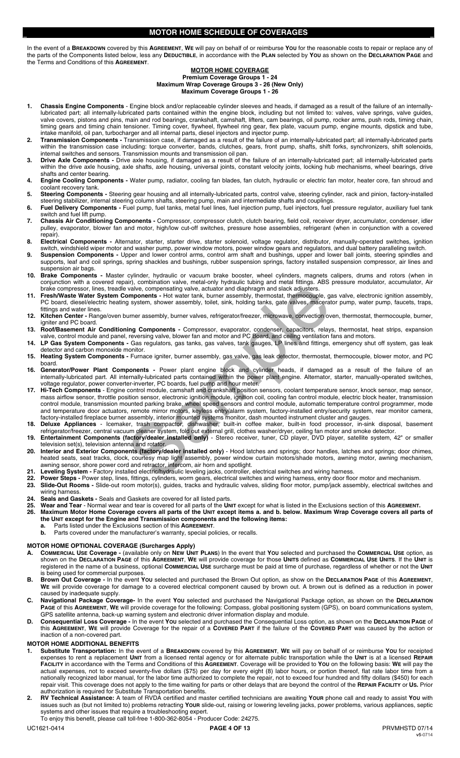# **MOTOR HOME SCHEDULE OF COVERAGES**

In the event of a **BREAKDOWN** covered by this **AGREEMENT**, **WE** will pay on behalf of or reimburse **YOU** for the reasonable costs to repair or replace any of the parts of the Components listed below, less any **DEDUCTIBLE**, in accordance with the **PLAN** selected by **YOU** as shown on the **DECLARATION PAGE** and the Terms and Conditions of this **AGREEMENT**.

#### **MOTOR HOME COVERAGE Premium Coverage Groups 1 - 24 Maximum Wrap Coverage Groups 3 - 26 (New Only) Maximum Coverage Groups 1 - 26**

- **1. Chassis Engine Components** Engine block and/or replaceable cylinder sleeves and heads, if damaged as a result of the failure of an internallylubricated part; all internally-lubricated parts contained within the engine block, including but not limited to: valves, valve springs, valve guides, valve covers, pistons and pins, main and rod bearings, crankshaft, camshaft, lifters, cam bearings, oil pump, rocker arms, push rods, timing chain, timing gears and timing chain tensioner. Timing cover, flywheel, flywheel ring gear, flex plate, vacuum pump, engine mounts, dipstick and tube, intake manifold, oil pan, turbocharger and all internal parts, diesel injectors and injector pump.
- **2. Transmission Components** Transmission case, if damaged as a result of the failure of an internally-lubricated part; all internally-lubricated parts within the transmission case including: torque converter, bands, clutches, gears, front pump, shafts, shift forks, synchronizers, shift solenoids, internal switches and sensors. Transmission mounts and transmission oil pan.
- **3. Drive Axle Components** Drive axle housing, if damaged as a result of the failure of an internally-lubricated part; all internally-lubricated parts within the drive axle housing, axle shafts, axle housing, universal joints, constant velocity joints, locking hub mechanisms, wheel bearings, drive shafts and center bearing.
- **4. Engine Cooling Components** Water pump, radiator, cooling fan blades, fan clutch, hydraulic or electric fan motor, heater core, fan shroud and coolant recovery tank.
- **5. Steering Components** Steering gear housing and all internally-lubricated parts, control valve, steering cylinder, rack and pinion, factory-installed steering stabilizer, internal steering column shafts, steering pump, main and intermediate shafts and couplings.
- **6. Fuel Delivery Components** Fuel pump, fuel tanks, metal fuel lines, fuel injection pump, fuel injectors, fuel pressure regulator, auxiliary fuel tank switch and fuel lift pump.
- **7. Chassis Air Conditioning Components** Compressor, compressor clutch, clutch bearing, field coil, receiver dryer, accumulator, condenser, idler pulley, evaporator, blower fan and motor, high/low cut-off switches, pressure hose assemblies, refrigerant (when in conjunction with a covered repair).
- **8. Electrical Components** Alternator, starter, starter drive, starter solenoid, voltage regulator, distributor, manually-operated switches, ignition
- switch, windshield wiper motor and washer pump, power window motors, power window gears and regulators, and dual battery paralleling switch. **9.** Suspension Components - Upper and lower control arms, control arm shaft and bushings, upper and lower ball joints, steering spindles and supports, leaf and coil springs, spring shackles and bushings, rubber suspension springs, factory installed suspension compressor, air lines and suspension air bags.
- **10. Brake Components** Master cylinder, hydraulic or vacuum brake booster, wheel cylinders, magnets calipers, drums and rotors (when in conjunction with a covered repair), combination valve, metal-only hydraulic tubing and metal fittings. ABS pressure modulator, accumulator, Air brake compressor, lines, treadle valve, compensating valve, actuator and diaphragm and slack adjusters.
- **11. Fresh/Waste Water System Components** Hot water tank, burner assembly, thermostat, thermocouple, gas valve, electronic ignition assembly, PC board, diesel/electric heating system, shower assembly, toilet, sink, holding tanks, gate valves, macerator pump, water pump, faucets, traps, fittings and water lines.
- **12. Kitchen Center** Range/oven burner assembly, burner valves, refrigerator/freezer, microwave, convection oven, thermostat, thermocouple, burner, gniter and PC board.
- **13. Roof/Basement Air Conditioning Components** Compressor, evaporator, condenser, capacitors, relays, thermostat, heat strips, expansion valve, control module and panel, reversing valve, blower fan and motor and PC Board, and ceiling ventilation fans and motors.
- **14. LP Gas System Components** Gas regulators, gas tanks, gas valves, tank gauges, LP lines and fittings, emergency shut off system, gas leak detector and carbon monoxide monitor.
- **15. Heating System Components** Furnace igniter, burner assembly, gas valve, gas leak detector, thermostat, thermocouple, blower motor, and PC board.
- **16. Generator/Power Plant Components** Power plant engine block and cylinder heads, if damaged as a result of the failure of an internally-lubricated part. All internally-lubricated parts contained within the power plant engine. Alternator, starter, manually-operated switches, voltage regulator, power converter-inverter, PC boards, fuel pump and hour meter.
- **17. Hi-Tech Components**  Engine control module, camshaft and crankshaft position sensors, coolant temperature sensor, knock sensor, map sensor, mass airflow sensor, throttle position sensor, electronic ignition module, ignition coil, cooling fan control module, electric block heater, transmission control module, transmission mounted parking brake, wheel speed sensors and control module, automatic temperature control programmer, mode and temperature door actuators, remote mirror motors, keyless entry/alarm system, factory-installed entry/security system, rear monitor camera, factory-installed fireplace burner assembly, interior mounted systems monitor, dash mounted instrument cluster and gauges. valve, compensating valve, actuator and diaphragm and slack adjusters.<br>
Surgeons are the water tank, bunner assembly, themostat, thermocolonie, gaystem, shower assembly, toilet, sink, holding tanks, gate valves, macerat<br>
u
- **18. Deluxe Appliances** Icemaker, trash compactor, dishwasher, built-in coffee maker, built-in food processor, in-sink disposal, basement refrigerator/freezer, central vacuum cleaner system, fold out external grill, clothes washer/dryer, ceiling fan motor and smoke detector.
- **19. Entertainment Components (factory/dealer installed only)** Stereo receiver, tuner, CD player, DVD player, satellite system, 42" or smaller television set(s), television antenna and rotator.
- **20. Interior and Exterior Components (factory/dealer installed only)** Hood latches and springs; door handles, latches and springs; door chimes, heated seats, seat tracks, clock, courtesy map light assembly, power window curtain motors/shade motors, awning motor, awning mechanism, awning sensor, shore power cord and retractor, intercom, air horn and spotlight.
- **21. Leveling System** Factory installed electric/hydraulic leveling jacks, controller, electrical switches and wiring harness.
- **22. Power Steps -** Power step, lines, fittings, cylinders, worm gears, electrical switches and wiring harness, entry door floor motor and mechanism.<br>**23. Slide-Out Rooms -** Slide-out room motor(s), quides, tracks and hydr
- **23. Slide-Out Rooms** Slide-out room motor(s), guides, tracks and hydraulic valves, sliding floor motor, pump/jack assembly, electrical switches and wiring harness.
- 24. Seals and Gaskets Seals and Gaskets are covered for all listed parts.<br>25. Wear and Tear Normal wear and tear is covered for all parts of the Un
- **25. Wear and Tear** Normal wear and tear is covered for all parts of the **UNIT** except for what is listed in the Exclusions section of this **AGREEMENT.** Maximum Motor Home Coverage covers all parts of the UNIT except items a. and b. below. Maximum Wrap Coverage covers all parts of
	- **the UNIT except for the Engine and Transmission components and the following items:**
	- **a.** Parts listed under the Exclusions section of this **AGREEMENT**. Parts covered under the manufacturer's warranty, special policies, or recalls.

# **MOTOR HOME OPTIONAL COVERAGE (Surcharges Apply)**

- **A. COMMERCIAL USE Coverage -** (available only on **NEW UNIT PLANS**) In the event that **YOU** selected and purchased the **COMMERCIAL USE** option, as shown on the **DECLARATION PAGE** of this **AGREEMENT**, **WE** will provide coverage for those **UNITS** defined as **COMMERCIAL USE UNITS**. If the **UNIT** is registered in the name of a business, optional **COMMERCIAL USE** surcharge must be paid at time of purchase, regardless of whether or not the **UNIT** is being used for commercial purposes.
- **B. Brown Out Coverage -** In the event **YOU** selected and purchased the Brown Out option, as show on the **DECLARATION PAGE** of this **AGREEMENT**, **WE** will provide coverage for damage to a covered electrical component caused by brown out. A brown out is defined as a reduction in power caused by inadequate supply.
- **C. Navigational Package Coverage-** In the event **YOU** selected and purchased the Navigational Package option, as shown on the **DECLARATION PAGE** of this **AGREEMENT**, **WE** will provide coverage for the following: Compass, global positioning system (GPS), on board communications system, GPS satellite antenna, back-up warning system and electronic driver information display and module.
- **D. Consequential Loss Coverage -** In the event **YOU** selected and purchased the Consequential Loss option, as shown on the **DECLARATION PAGE** of this **AGREEMENT**, **WE** will provide Coverage for the repair of a **COVERED PART** if the failure of the **COVERED PART** was caused by the action or inaction of a non-covered part.

# **MOTOR HOME ADDITIONAL BENEFITS**

- **1. Substitute Transportation:** In the event of a **BREAKDOWN** covered by this **AGREEMENT**, **WE** will pay on behalf of or reimburse **YOU** for receipted expenses to rent a replacement **UNIT** from a licensed rental agency or for alternate public transportation while the **UNIT** is at a licensed **REPAIR FACILITY** in accordance with the Terms and Conditions of this **AGREEMENT**. Coverage will be provided to **YOU** on the following basis: **WE** will pay the actual expenses, not to exceed seventy-five dollars (\$75) per day for every eight (8) labor hours, or portion thereof, flat rate labor time from a nationally recognized labor manual, for the labor time authorized to complete the repair, not to exceed four hundred and fifty dollars (\$450) for each repair visit. This coverage does not apply to the time waiting for parts or other delays that are beyond the control of the **REPAIR FACILITY** or **US.** Prior authorization is required for Substitute Transportation benefits.
- **2. RV Technical Assistance:** A team of RVDA certified and master certified technicians are awaiting **YOUR** phone call and ready to assist **YOU** with issues such as (but not limited to) problems retracting **YOUR** slide-out, raising or lowering leveling jacks, power problems, various appliances, septic systems and other issues that require a troubleshooting expert.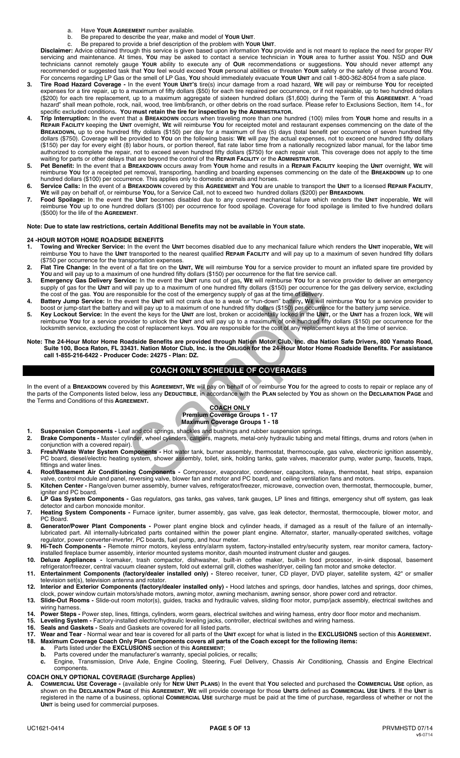- a. Have **YOUR AGREEMENT** number available.
- b. Be prepared to describe the year, make and model of **YOUR UNIT**.

c. Be prepared to provide a brief description of the problem with **YOUR UNIT**. **Disclaimer:** Advice obtained through this service is given based upon information **YOU** provide and is not meant to replace the need for proper RV servicing and maintenance. At times, **YOU** may be asked to contact a service technician in **YOUR** area to further assist **YOU**. NSD and **OUR** technicians cannot remotely gauge **YOUR** ability to execute any of **OUR** recommendations or suggestions. **YOU** should never attempt any recommended or suggested task that **YOU** feel would exceed **YOUR** personal abilities or threaten **YOUR** safety or the safety of those around **YOU**.

- For concerns regarding LP Gas or the smell of LP Gas, **YOU** should immediately evacuate **YOUR UNIT** and call 1-800-362-8054 from a safe place. **3. Tire Road Hazard Coverage -** In the event **YOUR UNIT'S** tire(s) incur damage from a road hazard, **WE** will pay or reimburse **YOU** for receipted expenses for a tire repair, up to a maximum of fifty dollars (\$50) for each tire repaired per occurrence, or if not repairable, up to two hundred dollars (\$200) for each tire replacement, up to a maximum aggregate of sixteen hundred dollars (\$1,600) during the Term of this **AGREEMENT**. A "road hazard" shall mean pothole, rock, nail, wood, tree limb/branch, or other debris on the road surface. Please refer to Exclusions Section, Item 14., for specific excluded conditions**. YOU must retain the tire for inspection by the ADMINISTRATOR.**
- **4. Trip Interruption:** In the event that a **BREAKDOWN** occurs when traveling more than one hundred (100) miles from **YOUR** home and results in a **REPAIR FACILITY** keeping the **UNIT** overnight, **WE** will reimburse **YOU** for receipted motel and restaurant expenses commencing on the date of the **BREAKDOWN,** up to one hundred fifty dollars (\$150) per day for a maximum of five (5) days (total benefit per occurrence of seven hundred fifty dollars (\$750). Coverage will be provided to **YOU** on the following basis: **WE** will pay the actual expenses, not to exceed one hundred fifty dollars (\$150) per day for every eight (8) labor hours, or portion thereof, flat rate labor time from a nationally recognized labor manual, for the labor time authorized to complete the repair, not to exceed seven hundred fifty dollars (\$750) for each repair visit. This coverage does not apply to the time waiting for parts or other delays that are beyond the control of the **REPAIR FACILITY** or the **ADMINISTRATOR.**
- **5. Pet Benefit:** In the event that a **BREAKDOWN** occurs away from **YOUR** home and results in a **REPAIR FACILITY** keeping the **UNIT** overnight, **WE** will reimburse **YOU** for a receipted pet removal, transporting, handling and boarding expenses commencing on the date of the **BREAKDOWN** up to one hundred dollars (\$100) per occurrence. This applies only to domestic animals and horses.
- **6. Service Calls:** In the event of a **BREAKDOWN** covered by this **AGREEMENT** and **YOU** are unable to transport the **UNIT** to a licensed **REPAIR FACILITY**, **WE** will pay on behalf of, or reimburse **YOU,** for a Service Call, not to exceed two hundred dollars (\$200) per **BREAKDOWN**.
- **7. Food Spoilage:** In the event the **UNIT** becomes disabled due to any covered mechanical failure which renders the **UNIT** inoperable, **WE** will reimburse **YOU** up to one hundred dollars (\$100) per occurrence for food spoilage. Coverage for food spoilage is limited to five hundred dollars (\$500) for the life of the **AGREEMENT**.

#### **Note: Due to state law restrictions, certain Additional Benefits may not be available in YOUR state.**

## **24 -HOUR MOTOR HOME ROADSIDE BENEFITS**

- **1. Towing and Wrecker Service:** In the event the **UNIT** becomes disabled due to any mechanical failure which renders the **UNIT** inoperable**, WE** will reimburse **YOU** to have the **UNIT** transported to the nearest qualified **REPAIR FACILITY** and will pay up to a maximum of seven hundred fifty dollars (\$750 per occurrence for the transportation expenses.
- **2. Flat Tire Change:** In the event of a flat tire on the **UNIT, WE** will reimburse **YOU** for a service provider to mount an inflated spare tire provided by **YOU** and will pay up to a maximum of one hundred fifty dollars (\$150) per occurrence for the flat tire service call.
- **3. Emergency Gas Delivery Service:** In the event the **UNIT** runs out of gas**, WE** will reimburse **YOU** for a service provider to deliver an emergency supply of gas for the **UNIT** and will pay up to a maximum of one hundred fifty dollars (\$150) per occurrence for the gas delivery service, excluding the cost of the gas. **YOU** are responsible for the cost of the emergency supply of gas at the time of delivery.
- **4. Battery Jump Service:** In the event the **UNIT** will not crank due to a weak or "run-down" battery**, WE** will reimburse **YOU** for a service provider to boost or jump-start the battery and will pay up to a maximum of one hundred fifty dollars (\$150) per occurrence for the battery jump service.
- **5. Key Lockout Service:** In the event the keys for the **UNIT** are lost, broken or accidentally locked in the **UNIT,** or the **UNIT** has a frozen lock, **WE** will reimburse **YOU** for a service provider to unlock the **UNIT** and will pay up to a maximum of one hundred fifty dollars (\$150) per occurrence for the locksmith service, excluding the cost of replacement keys. **YOU** are responsible for the cost of any replacement keys at the time of service. will pay up to a maximum of one hundred fifty dollars (\$150) per occurrence<br>ponsible for the cost of the emergency supply of gas at the time of delivery<br>went the UNIT will not crank due to a weak or "run-down" battlery, WE
- **Note: The 24-Hour Motor Home Roadside Benefits are provided through Nation Motor Club, Inc. dba Nation Safe Drivers, 800 Yamato Road, Suite 100, Boca Raton, FL 33431. Nation Motor Club, Inc. is the OBLIGOR for the 24-Hour Motor Home Roadside Benefits. For assistance call 1-855-216-6422 - Producer Code: 24275 - Plan: DZ.**

# **COACH ONLY SCHEDULE OF COVERAGES**

In the event of a **BREAKDOWN** covered by this **AGREEMENT, WE** will pay on behalf of or reimburse **YOU** for the agreed to costs to repair or replace any of the parts of the Components listed below, less any **DEDUCTIBLE**, in accordance with the **PLAN** selected by **YOU** as shown on the **DECLARATION PAGE** and the Terms and Conditions of this **AGREEMENT.** 

#### **COACH ONLY Premium Coverage Groups 1 - 17 Maximum Coverage Groups 1 - 18**

- **1. Suspension Components Leaf and coil springs, shackles and bushings and rubber suspension springs.<br>2. <b>Brake Components -** Master cylinder, wheel cylinders, calipers, magnets, metal-only hydraulic tubing and
- **2. Brake Components** Master cylinder, wheel cylinders, calipers, magnets, metal-only hydraulic tubing and metal fittings, drums and rotors (when in conjunction with a covered repair).
- **3. Fresh/Waste Water System Components** Hot water tank, burner assembly, thermostat, thermocouple, gas valve, electronic ignition assembly, PC board, diesel/electric heating system, shower assembly, toilet, sink, holding tanks, gate valves, macerator pump, water pump, faucets, traps, fittings and water lines.
- **4. Roof/Basement Air Conditioning Components** Compressor, evaporator, condenser, capacitors, relays, thermostat, heat strips, expansion valve, control module and panel, reversing valve, blower fan and motor and PC board, and ceiling ventilation fans and motors.
- **5. Kitchen Center** Range/oven burner assembly, burner valves, refrigerator/freezer, microwave, convection oven, thermostat, thermocouple, burner, igniter and PC board.
- 6. LP Gas System Components Gas regulators, gas tanks, gas valves, tank gauges, LP lines and fittings, emergency shut off system, gas leak detector and carbon monoxide monitor.
- 7. Heating System Components Furnace igniter, burner assembly, gas valve, gas leak detector, thermostat, thermocouple, blower motor, and PC Board.
- **8. Generator/Power Plant Components** Power plant engine block and cylinder heads, if damaged as a result of the failure of an internallylubricated part. All internally-lubricated parts contained within the power plant engine. Alternator, starter, manually-operated switches, voltage regulator, power converter-inverter, PC boards, fuel pump, and hour meter.
- **9. Hi-Tech Components -** Remote mirror motors, keyless entry/alarm system, factory-installed entry/security system, rear monitor camera, factoryinstalled fireplace burner assembly, interior mounted systems monitor, dash mounted instrument cluster and gauges.
- **10. Deluxe Appliances -** Icemaker, trash compactor, dishwasher, built-in coffee maker, built-in food processor, in-sink disposal, basement refrigerator/freezer, central vacuum cleaner system, fold out external grill, clothes washer/dryer, ceiling fan motor and smoke detector.
- **11. Entertainment Components (factory/dealer installed only) -** Stereo receiver, tuner, CD player, DVD player, satellite system, 42" or smaller television set(s), television antenna and rotator.
- **12. Interior and Exterior Components (factory/dealer installed only) -** Hood latches and springs, door handles, latches and springs, door chimes, clock, power window curtain motors/shade motors, awning motor, awning mechanism, awning sensor, shore power cord and retractor.
- **13. Slide-Out Rooms -** Slide-out room motor(s), guides, tracks and hydraulic valves, sliding floor motor, pump/jack assembly, electrical switches and wiring harness.
- **14. Power Steps -** Power step, lines, fittings, cylinders, worm gears, electrical switches and wiring harness, entry door floor motor and mechanism.
- **15. Leveling System** Factory-installed electric/hydraulic leveling jacks, controller, electrical switches and wiring harness.
- **16. Seals and Gaskets** Seals and Gaskets are covered for all listed parts.
- **17. Wear and Tear** Normal wear and tear is covered for all parts of the **UNIT** except for what is listed in the **EXCLUSIONS** section of this **AGREEMENT. 18. Maximum Coverage Coach Only Plan Components covers all parts of the Coach except for the following items:** 
	- **a.** Parts listed under the **EXCLUSIONS** section of this **AGREEMENT**;
		- **b.** Parts covered under the manufacturer's warranty, special policies, or recalls;
	- **c.** Engine, Transmission, Drive Axle, Engine Cooling, Steering, Fuel Delivery, Chassis Air Conditioning, Chassis and Engine Electrical components.
- **COACH ONLY OPTIONAL COVERAGE (Surcharge Applies)**
- **A. COMMERCIAL USE Coverage -** (available only for **NEW UNIT PLANS**) In the event that **YOU** selected and purchased the **COMMERCIAL USE** option, as shown on the **DECLARATION PAGE** of this **AGREEMENT**, **WE** will provide coverage for those **UNITS** defined as **COMMERCIAL USE UNITS**. If the **UNIT** is registered in the name of a business, optional **COMMERCIAL USE** surcharge must be paid at the time of purchase, regardless of whether or not the **UNIT** is being used for commercial purposes.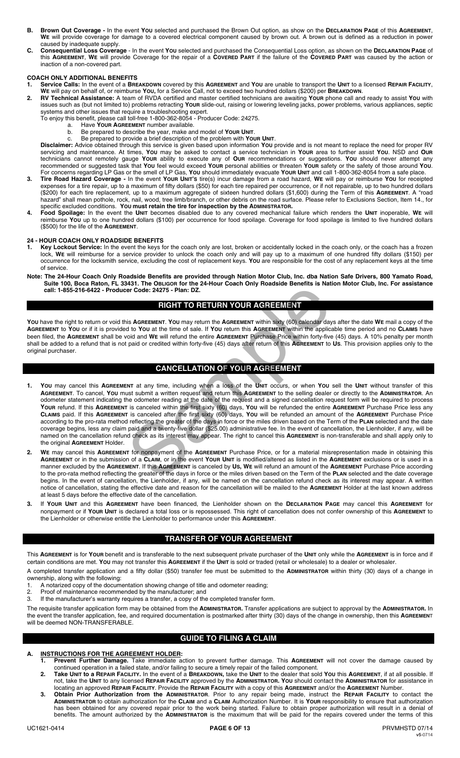- **B. Brown Out Coverage -** In the event **YOU** selected and purchased the Brown Out option, as show on the **DECLARATION PAGE** of this **AGREEMENT**, **WE** will provide coverage for damage to a covered electrical component caused by brown out. A brown out is defined as a reduction in power caused by inadequate supply.
- **C. Consequential Loss Coverage**  In the event **YOU** selected and purchased the Consequential Loss option, as shown on the **DECLARATION PAGE** of this **AGREEMENT**, **WE** will provide Coverage for the repair of a **COVERED PART** if the failure of the **COVERED PART** was caused by the action or inaction of a non-covered part.

#### **COACH ONLY ADDITIONAL BENEFITS**

**1. Service Calls:** In the event of a **BREAKDOWN** covered by this **AGREEMENT** and **YOU** are unable to transport the **UNIT** to a licensed **REPAIR FACILITY**, **WE** will pay on behalf of, or reimburse **YOU,** for a Service Call, not to exceed two hundred dollars (\$200) per **BREAKDOWN**.

**2. RV Technical Assistance:** A team of RVDA certified and master certified technicians are awaiting **YOUR** phone call and ready to assist **YOU** with issues such as (but not limited to) problems retracting **YOUR** slide-out, raising or lowering leveling jacks, power problems, various appliances, septic systems and other issues that require a troubleshooting expert.

- To enjoy this benefit, please call toll-free 1-800-362-8054 Producer Code: 24275.
	- a. Have **YOUR AGREEMENT** number available.
	- b. Be prepared to describe the year, make and model of **YOUR UNIT**. c. Be prepared to provide a brief description of the problem with **YOUR UNIT**.

**Disclaimer:** Advice obtained through this service is given based upon information **YOU** provide and is not meant to replace the need for proper RV servicing and maintenance. At times, **YOU** may be asked to contact a service technician in **YOUR** area to further assist **YOU**. NSD and **OUR** technicians cannot remotely gauge **YOUR** ability to execute any of **OUR** recommendations or suggestions. **YOU** should never attempt any recommended or suggested task that **YOU** feel would exceed **YOUR** personal abilities or threaten **YOUR** safety or the safety of those around **YOU**. For concerns regarding LP Gas or the smell of LP Gas, **YOU** should immediately evacuate **YOUR UNIT** and call 1-800-362-8054 from a safe place.

- **3. Tire Road Hazard Coverage -** In the event **YOUR UNIT'S** tire(s) incur damage from a road hazard, **WE** will pay or reimburse **YOU** for receipted expenses for a tire repair, up to a maximum of fifty dollars (\$50) for each tire repaired per occurrence, or if not repairable, up to two hundred dollars (\$200) for each tire replacement, up to a maximum aggregate of sixteen hundred dollars (\$1,600) during the Term of this **AGREEMENT**. A "road hazard" shall mean pothole, rock, nail, wood, tree limb/branch, or other debris on the road surface. Please refer to Exclusions Section, Item 14., for specific excluded conditions. **YOU must retain the tire for inspection by the ADMINISTRATOR.**
- **4. Food Spoilage:** In the event the **UNIT** becomes disabled due to any covered mechanical failure which renders the **UNIT** inoperable, **WE** will reimburse **YOU** up to one hundred dollars (\$100) per occurrence for food spoilage. Coverage for food spoilage is limited to five hundred dollars (\$500) for the life of the **AGREEMENT**.

#### **24 - HOUR COACH ONLY ROADSIDE BENEFITS**

- **1. Key Lockout Service:** In the event the keys for the coach only are lost, broken or accidentally locked in the coach only, or the coach has a frozen lock, **WE** will reimburse for a service provider to unlock the coach only and will pay up to a maximum of one hundred fifty dollars (\$150) per occurrence for the locksmith service, excluding the cost of replacement keys. **YOU** are responsible for the cost of any replacement keys at the time of service.
- **Note: The 24-Hour Coach Only Roadside Benefits are provided through Nation Motor Club, Inc. dba Nation Safe Drivers, 800 Yamato Road, Suite 100, Boca Raton, FL 33431. The OBLIGOR for the 24-Hour Coach Only Roadside Benefits is Nation Motor Club, Inc. For assistance call: 1-855-216-6422 - Producer Code: 24275 - Plan: DZ.**

# **RIGHT TO RETURN YOUR AGREEMENT**

**YOU** have the right to return or void this **AGREEMENT**. **YOU** may return the **AGREEMENT** within sixty (60) calendar days after the date **WE** mail a copy of the **AGREEMENT** to **YOU** or if it is provided to **YOU** at the time of sale. If **YOU** return this **AGREEMENT** within the applicable time period and no **CLAIMS** have been filed, the **AGREEMENT** shall be void and **WE** will refund the entire **AGREEMENT** Purchase Price within forty-five (45) days. A 10% penalty per month shall be added to a refund that is not paid or credited within forty-five (45) days after return of this **AGREEMENT** to **US**. This provision applies only to the original purchaser.

# **CANCELLATION OF YOUR AGREEMENT**

- **1. YOU** may cancel this **AGREEMENT** at any time, including when a loss of the **UNIT** occurs, or when **YOU** sell the **UNIT** without transfer of this **AGREEMENT**. To cancel, **YOU** must submit a written request and return this **AGREEMENT** to the selling dealer or directly to the **ADMINISTRATOR**. An odometer statement indicating the odometer reading at the date of the request and a signed cancellation request form will be required to process **YOUR** refund. If this **AGREEMENT** is canceled within the first sixty (60) days, **YOU** will be refunded the entire **AGREEMENT** Purchase Price less any **CLAIMS** paid. If this **AGREEMENT** is canceled after the first sixty (60) days, **YOU** will be refunded an amount of the **AGREEMENT** Purchase Price according to the pro-rata method reflecting the greater of the days in force or the miles driven based on the Term of the **PLAN** selected and the date coverage begins, less any claim paid and a twenty-five dollar (\$25.00) administrative fee. In the event of cancellation, the Lienholder, if any, will be named on the cancellation refund check as its interest may appear. The right to cancel this **AGREEMENT** is non-transferable and shall apply only to the original **AGREEMENT** Holder. For Code: 24275 - Plan: DZ.<br>
FIGHT TO RETURN YOUR AGREEMENT within sixty (60) calendar day<br>
is AGREEMENT. You may return the AGREEMENT within sixty (60) calendar day<br>
to You at the time of sale. If You return this AGREEME
- **2. WE** may cancel this **AGREEMENT** for nonpayment of the **AGREEMENT** Purchase Price, or for a material misrepresentation made in obtaining this **AGREEMENT** or in the submission of a **CLAIM**, or in the event **YOUR UNIT** is modified/altered as listed in the **AGREEMENT** exclusions or is used in a manner excluded by the **AGREEMENT**. If this **AGREEMENT** is canceled by **US, WE** will refund an amount of the **AGREEMENT** Purchase Price according to the pro-rata method reflecting the greater of the days in force or the miles driven based on the Term of the **PLAN** selected and the date coverage begins. In the event of cancellation, the Lienholder, if any, will be named on the cancellation refund check as its interest may appear. A written notice of cancellation, stating the effective date and reason for the cancellation will be mailed to the **AGREEMENT** Holder at the last known address at least 5 days before the effective date of the cancellation.
- **3.** If **YOUR UNIT** and this **AGREEMENT** have been financed, the Lienholder shown on the **DECLARATION PAGE** may cancel this **AGREEMENT** for nonpayment or if **YOUR UNIT** is declared a total loss or is repossessed. This right of cancellation does not confer ownership of this **AGREEMENT** to the Lienholder or otherwise entitle the Lienholder to performance under this **AGREEMENT**.

# **TRANSFER OF YOUR AGREEMENT**

This **AGREEMENT** is for **YOUR** benefit and is transferable to the next subsequent private purchaser of the **UNIT** only while the **AGREEMENT** is in force and if certain conditions are met. **YOU** may not transfer this **AGREEMENT** if the **UNIT** is sold or traded (retail or wholesale) to a dealer or wholesaler.

A completed transfer application and a fifty dollar (\$50) transfer fee must be submitted to the **ADMINISTRATOR** within thirty (30) days of a change in ownership, along with the following:<br>1. A notarized cony of the docume

- A notarized copy of the documentation showing change of title and odometer reading;
- 2. Proof of maintenance recommended by the manufacturer; and
- 3. If the manufacturer's warranty requires a transfer, a copy of the completed transfer form.

The requisite transfer application form may be obtained from the **ADMINISTRATOR.** Transfer applications are subject to approval by the **ADMINISTRATOR.** In the event the transfer application, fee, and required documentation is postmarked after thirty (30) days of the change in ownership, then this **AGREEMEN**T will be deemed NON-TRANSFERABLE.

# **GUIDE TO FILING A CLAIM**

# **A. INSTRUCTIONS FOR THE AGREEMENT HOLDER:**

- **1. Prevent Further Damage.** Take immediate action to prevent further damage. This **AGREEMENT** will not cover the damage caused by continued operation in a failed state, and/or failing to secure a timely repair of the failed component.
- **2. Take UNIT to a REPAIR FACILITY.** In the event of a **BREAKDOWN,** take the **UNIT** to the dealer that sold **YOU** this **AGREEMENT**, if at all possible. If not, take the **UNIT** to any licensed **REPAIR FACILITY** approved by the **ADMINISTRATOR. YOU** should contact the **ADMINISTRATOR** for assistance in locating an approved **REPAIR FACILITY**. Provide the **REPAIR FACILITY** with a copy of this **AGREEMENT** and/or the **AGREEMENT** Number.
- **3. Obtain Prior Authorization from the ADMINISTRATOR**. Prior to any repair being made, instruct the **REPAIR FACILITY** to contact the **ADMINISTRATOR** to obtain authorization for the **CLAIM** and a **CLAIM** Authorization Number. It is **YOUR** responsibility to ensure that authorization has been obtained for any covered repair prior to the work being started. Failure to obtain proper authorization will result in a denial of benefits. The amount authorized by the **ADMINISTRATOR** is the maximum that will be paid for the repairs covered under the terms of this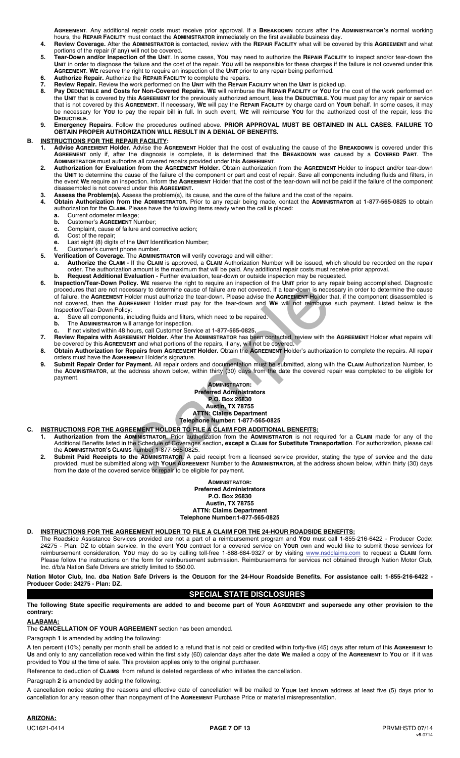**AGREEMENT**. Any additional repair costs must receive prior approval. If a **BREAKDOWN** occurs after the **ADMINISTRATOR'S** normal working hours, the **REPAIR FACILITY** must contact the **ADMINISTRATOR** immediately on the first available business day.

- **4. Review Coverage.** After the **ADMINISTRATOR** is contacted, review with the **REPAIR FACILITY** what will be covered by this **AGREEMENT** and what portions of the repair (if any) will not be covered.
- **5. Tear-Down and/or Inspection of the UNIT**. In some cases, **YOU** may need to authorize the **REPAIR FACILITY** to inspect and/or tear-down the **UNIT** in order to diagnose the failure and the cost of the repair. **YOU** will be responsible for these charges if the failure is not covered under this **AGREEMENT**. **WE** reserve the right to require an inspection of the **UNIT** prior to any repair being performed.  **6. Authorize Repair.** Authorize the **REPAIR FACILITY** to complete the repairs.
- **7. Review Repair.** Review the work performed on the **UNIT** with the **REPAIR FACILITY** when the **UNIT** is picked up.
- **8. Pay DEDUCTIBLE and Costs for Non-Covered Repairs. WE** will reimburse the **REPAIR FACILITY** or **YOU** for the cost of the work performed on the **UNIT** that is covered by this **AGREEMENT** for the previously authorized amount, less the **DEDUCTIBLE. YOU** must pay for any repair or service that is not covered by this **AGREEMENT**. If necessary, **WE** will pay the **REPAIR FACILITY** by charge card on **YOUR** behalf. In some cases, it may be necessary for **YOU** to pay the repair bill in full. In such event, **WE** will reimburse **YOU** for the authorized cost of the repair, less the **DEDUCTIBLE.**
- **9. Emergency Repairs**. Follow the procedures outlined above. **PRIOR APPROVAL MUST BE OBTAINED IN ALL CASES. FAILURE TO OBTAIN PROPER AUTHORIZATION WILL RESULT IN A DENIAL OF BENEFITS.**

# **B. INSTRUCTIONS FOR THE REPAIR FACILITY:**

- **1. Advise AGREEMENT Holder.** Advise the **AGREEMENT** Holder that the cost of evaluating the cause of the **BREAKDOWN** is covered under this **AGREEMENT** only if, after the diagnosis is complete, it is determined that the **BREAKDOWN** was caused by a **COVERED PART**. The **ADMINISTRATOR** must authorize all covered repairs provided under this **AGREEMENT**.
- **2. Authorization for Evaluation from the AGREEMENT Holder.** Obtain authorization from the **AGREEMENT** Holder to inspect and/or tear-down the **UNIT** to determine the cause of the failure of the component or part and cost of repair. Save all components including fluids and filters, in the event **WE** require an inspection. Inform the **AGREEMENT** Holder that the cost of the tear-down will not be paid if the failure of the component disassembled is not covered under this **AGREEMENT.**
- **3. Assess the Problem(s).** Assess the problem(s), its cause, and the cure of the failure and the cost of the repairs.
	- **4. Obtain Authorization from the ADMINISTRATOR.** Prior to any repair being made, contact the **ADMINISTRATOR** at **1-877-565-0825** to obtain authorization for the **CLAIM.** Please have the following items ready when the call is placed:
		- **a.** Current odometer mileage;<br>**b.** Customer's **AGREEMENT** Nu
		- **b.** Customer's **AGREEMENT** Number; **c.** Complaint, cause of failure and corrective action;
		- **d.** Cost of the repair;
		- **e.** Last eight (8) digits of the **UNIT** Identification Number;
- **f.** Customer's current phone number.
- **5. Verification of Coverage.** The **ADMINISTRATOR** will verify coverage and will either:
	- **a. Authorize the CLAIM -** If the **CLAIM** is approved, a **CLAIM** Authorization Number will be issued, which should be recorded on the repair order. The authorization amount is the maximum that will be paid. Any additional repair costs must receive prior approval.
	- **b. Request Additional Evaluation -** Further evaluation, tear-down or outside inspection may be requested.<br>**6. Inspection/Tear-Down Policy. WE** reserve the right to require an inspection of the UNIT prior to any repair  **6. Inspection/Tear-Down Policy. WE** reserve the right to require an inspection of the **UNIT** prior to any repair being accomplished. Diagnostic procedures that are not necessary to determine cause of failure are not covered. If a tear-down is necessary in order to determine the cause of failure, the **AGREEMENT** Holder must authorize the tear-down. Please advise the **AGREEMENT** Holder that, if the component disassembled is not covered, then the **AGREEMENT** Holder must pay for the tear-down and **WE** will not reimburse such payment. Listed below is the Inspection/Tear-Down Policy: The structure is the care of although the case of failure are not covered. If a tear-down is necessary to determine cause of failure are not covered. If a tear-down is necessary to determine cause of failure are not covere
- **a.** Save all components, including fluids and filters, which need to be repaired.
- **b.** The **ADMINISTRATOR** will arrange for inspection.
- **c.** If not visited within 48 hours, call Customer Service at **1-877-565-0825. 7. Review Repairs with AGREEMENT Holder.** After the **ADMINISTRATOR** has been contacted, review with the **AGREEMENT** Holder what repairs will be covered by this **AGREEMENT** and what portions of the repairs, if any, will not be covered.
- **8. Obtain Authorization for Repairs from AGREEMENT Holder.** Obtain the **AGREEMENT** Holder's authorization to complete the repairs. All repair orders must have the **AGREEMENT** Holder's signature.
	- **9. Submit Repair Order for Payment.** All repair orders and documentation must be submitted, along with the **CLAIM** Authorization Number, to the **ADMINISTRATOR**, at the address shown below, within thirty (30) days from the date the covered repair was completed to be eligible for payment.

#### **ADMINISTRATOR: Preferred Administrators P.O. Box 26830 Austin, TX 78755 ATTN: Claims Department Telephone Number: 1-877-565-0825**

- **C. INSTRUCTIONS FOR THE AGREEMENT HOLDER TO FILE A CLAIM FOR ADDITIONAL BENEFITS:**
- **1. Authorization from the ADMINISTRATOR.** Prior authorization from the **ADMINISTRATOR** is not required for a **CLAIM** made for any of the Additional Benefits listed in the Schedule of Coverages section**, except a CLAIM for Substitute Transportation**. For authorization, please call the **ADMINISTRATOR'S CLAIMS** number 1-877-565-0825.
	- **2. Submit Paid Receipts to the ADMINISTRATOR.** A paid receipt from a licensed service provider, stating the type of service and the date provided, must be submitted along with **YOUR AGREEMENT** Number to the **ADMINISTRATOR,** at the address shown below, within thirty (30) days from the date of the covered service or repair to be eligible for payment.

**ADMINISTRATOR: Preferred Administrators P.O. Box 26830 Austin, TX 78755 ATTN: Claims Department Telephone Number:1-877-565-0825**

#### **D. INSTRUCTIONS FOR THE AGREEMENT HOLDER TO FILE A CLAIM FOR THE 24-HOUR ROADSIDE BENEFITS:**

The Roadside Assistance Services provided are not a part of a reimbursement program and **YOU** must call 1-855-216-6422 - Producer Code: 24275 - Plan: DZ to obtain service. In the event **YOU** contract for a covered service on **YOUR** own and would like to submit those services for reimbursement consideration, **YOU** may do so by calling toll-free 1-888-684-9327 or by visiting www.nsdclaims.com to request a **CLAIM** form. Please follow the instructions on the form for reimbursement submission. Reimbursements for services not obtained through Nation Motor Club, Inc. d/b/a Nation Safe Drivers are strictly limited to \$50.00.

**Nation Motor Club, Inc. dba Nation Safe Drivers is the OBLIGOR for the 24-Hour Roadside Benefits. For assistance call: 1-855-216-6422 - Producer Code: 24275 - Plan: DZ.** 

# **SPECIAL STATE DISCLOSURES**

**The following State specific requirements are added to and become part of YOUR AGREEMENT and supersede any other provision to the contrary:** 

#### **ALABAMA:**

The **CANCELLATION OF YOUR AGREEMENT** section has been amended.

Paragraph **1** is amended by adding the following:

A ten percent (10%) penalty per month shall be added to a refund that is not paid or credited within forty-five (45) days after return of this **AGREEMENT** to **US** and only to any cancellation received within the first sixty (60) calendar days after the date **WE** mailed a copy of the **AGREEMENT** to **YOU** or if it was provided to **YOU** at the time of sale. This provision applies only to the original purchaser.

Reference to deduction of **CLAIMS** from refund is deleted regardless of who initiates the cancellation.

Paragraph **2** is amended by adding the following:

A cancellation notice stating the reasons and effective date of cancellation will be mailed to **YOUR** last known address at least five (5) days prior to cancellation for any reason other than nonpayment of the **AGREEMENT** Purchase Price or material misrepresentation.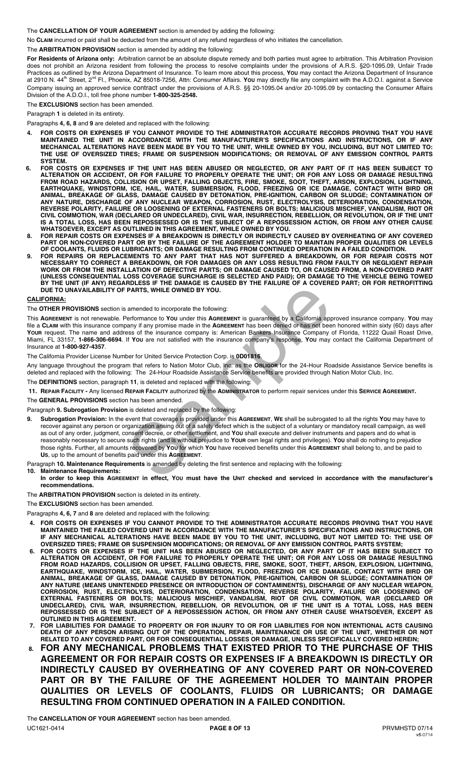The **CANCELLATION OF YOUR AGREEMENT** section is amended by adding the following:

No **CLAIM** incurred or paid shall be deducted from the amount of any refund regardless of who initiates the cancellation.

The **ARBITRATION PROVISION** section is amended by adding the following:

**For Residents of Arizona only:** Arbitration cannot be an absolute dispute remedy and both parties must agree to arbitration. This Arbitration Provision does not prohibit an Arizona resident from following the process to resolve complaints under the provisions of A.R.S. §20-1095.09, Unfair Trade Practices as outlined by the Arizona Department of Insurance. To learn more about this process, **YOU** may contact the Arizona Department of Insurance at 2910 N. 44<sup>th</sup> Street, 2<sup>nd</sup> Fl., Phoenix, AZ 85018-7256, Attn: Consumer Affairs. You may directly file any complaint with the A.D.O.I. against a Service Company issuing an approved service contract under the provisions of A.R.S. §§ 20-1095.04 and/or 20-1095.09 by contacting the Consumer Affairs Division of the A.D.O.I., toll free phone number **1-800-325-2548.** 

The **EXCLUSIONS** section has been amended.

Paragraph **1** is deleted in its entirety.

Paragraphs **4, 6, 8** and **9** are deleted and replaced with the following:

- **4. FOR COSTS OR EXPENSES IF YOU CANNOT PROVIDE TO THE ADMINISTRATOR ACCURATE RECORDS PROVING THAT YOU HAVE MAINTAINED THE UNIT IN ACCORDANCE WITH THE MANUFACTURER'S SPECIFICATIONS AND INSTRUCTIONS, OR IF ANY MECHANICAL ALTERATIONS HAVE BEEN MADE BY YOU TO THE UNIT, WHILE OWNED BY YOU, INCLUDING, BUT NOT LIMITED TO: THE USE OF OVERSIZED TIRES; FRAME OR SUSPENSION MODIFICATIONS; OR REMOVAL OF ANY EMISSION CONTROL PARTS SYSTEM.**
- **6. FOR COSTS OR EXPENSES IF THE UNIT HAS BEEN ABUSED OR NEGLECTED, OR ANY PART OF IT HAS BEEN SUBJECT TO ALTERATION OR ACCIDENT, OR FOR FAILURE TO PROPERLY OPERATE THE UNIT; OR FOR ANY LOSS OR DAMAGE RESULTING FROM ROAD HAZARDS, COLLISION OR UPSET, FALLING OBJECTS, FIRE, SMOKE, SOOT, THEFT, ARSON, EXPLOSION, LIGHTNING, EARTHQUAKE, WINDSTORM, ICE, HAIL, WATER, SUBMERSION, FLOOD, FREEZING OR ICE DAMAGE, CONTACT WITH BIRD OR ANIMAL, BREAKAGE OF GLASS, DAMAGE CAUSED BY DETONATION, PRE-IGNITION, CARBON OR SLUDGE; CONTAMINATION OF ANY NATURE, DISCHARGE OF ANY NUCLEAR WEAPON, CORROSION, RUST, ELECTROLYSIS, DETERIORATION, CONDENSATION, REVERSE POLARITY, FAILURE OR LOOSENING OF EXTERNAL FASTENERS OR BOLTS; MALICIOUS MISCHIEF, VANDALISM, RIOT OR CIVIL COMMOTION, WAR (DECLARED OR UNDECLARED), CIVIL WAR, INSURRECTION, REBELLION, OR REVOLUTION, OR IF THE UNIT IS A TOTAL LOSS, HAS BEEN REPOSSESSED OR IS THE SUBJECT OF A REPOSSESSION ACTION, OR FROM ANY OTHER CAUSE WHATSOEVER, EXCEPT AS OUTLINED IN THIS AGREEMENT, WHILE OWNED BY YOU.**
- **8. FOR REPAIR COSTS OR EXPENSES IF A BREAKDOWN IS DIRECTLY OR INDIRECTLY CAUSED BY OVERHEATING OF ANY COVERED PART OR NON-COVERED PART OR BY THE FAILURE OF THE AGREEMENT HOLDER TO MAINTAIN PROPER QUALITIES OR LEVELS OF COOLANTS, FLUIDS OR LUBRICANTS; OR DAMAGE RESULTING FROM CONTINUED OPERATION IN A FAILED CONDITION.**
- **9. FOR REPAIRS OR REPLACEMENTS TO ANY PART THAT HAS NOT SUFFERED A BREAKDOWN, OR FOR REPAIR COSTS NOT NECESSARY TO CORRECT A BREAKDOWN, OR FOR DAMAGES OR ANY LOSS RESULTING FROM FAULTY OR NEGLIGENT REPAIR WORK OR FROM THE INSTALLATION OF DEFECTIVE PARTS; OR DAMAGE CAUSED TO, OR CAUSED FROM, A NON-COVERED PART (UNLESS CONSEQUENTIAL LOSS COVERAGE SURCHARGE IS SELECTED AND PAID); OR DAMAGE TO THE VEHICLE BEING TOWED BY THE UNIT (IF ANY) REGARDLESS IF THE DAMAGE IS CAUSED BY THE FAILURE OF A COVERED PART; OR FOR RETROFITTING DUE TO UNAVAILABILITY OF PARTS, WHILE OWNED BY YOU.**

## **CALIFORNIA:**

The **OTHER PROVISIONS** section is amended to incorporate the following:

This **AGREEMENT** is not renewable. Performance to **YOU** under this **AGREEMENT** is guaranteed by a California approved insurance company. **YOU** may file a **CLAIM** with this insurance company if any promise made in the **AGREEMENT** has been denied or has not been honored within sixty (60) days after **YOUR** request. The name and address of the insurance company is: American Bankers Insurance Company of Florida, 11222 Quail Roast Drive, Miami, FL 33157, **1-866-306-6694**. If **YOU** are not satisfied with the insurance company's response, **YOU** may contact the California Department of Insurance at **1-800-927-4357**.

The California Provider License Number for United Service Protection Corp. is **0D01816**.

Any language throughout the program that refers to Nation Motor Club, Inc. as the **OBLIGOR** for the 24-Hour Roadside Assistance Service benefits is deleted and replaced with the following: The 24-Hour Roadside Assistance Service benefits are provided through Nation Motor Club, Inc.

- The **DEFINITIONS** section, paragraph **11**, is deleted and replaced with the following:
- **11. REPAIR FACILITY -** Any licensed **REPAIR FACILITY** authorized by the **ADMINISTRATOR** to perform repair services under this **SERVICE AGREEMENT.**

The **GENERAL PROVISIONS** section has been amended.

Paragraph **9. Subrogation Provision** is deleted and replaced by the following:

- **9. Subrogation Provision:** In the event that coverage is provided under this **AGREEMENT**, **WE** shall be subrogated to all the rights **YOU** may have to recover against any person or organization arising out of a safety defect which is the subject of a voluntary or mandatory recall campaign, as well as out of any order, judgment, consent decree, or other settlement, and **YOU** shall execute and deliver instruments and papers and do what is reasonably necessary to secure such rights (and is without prejudice to **YOUR** own legal rights and privileges). **YOU** shall do nothing to prejudice those rights. Further, all amounts recovered by **YOU** for which **YOU** have received benefits under this **AGREEMENT** shall belong to, and be paid to **US**, up to the amount of benefits paid under this **AGREEMENT**. **PARTS, WHILE OWNED BY YOU.**<br>
PARTS, WHILE OWNED BY YOU.<br>
PARTS, WHILE OWNED BY YOU.<br>
amended to incorporate the following:<br>
Performance to You under this AGREEMENT is guaranteed by a California appear<br>
anary if any promis
- Paragraph **10. Maintenance Requirements** is amended by deleting the first sentence and replacing with the following:
- **10. Maintenance Requirements: In order to keep this AGREEMENT in effect, YOU must have the UNIT checked and serviced in accordance with the manufacturer's recommendations.**

The **ARBITRATION PROVISION** section is deleted in its entirety.

The **EXCLUSIONS** section has been amended.

Paragraphs **4, 6, 7** and **8** are deleted and replaced with the following:

- **4. FOR COSTS OR EXPENSES IF YOU CANNOT PROVIDE TO THE ADMINISTRATOR ACCURATE RECORDS PROVING THAT YOU HAVE MAINTAINED THE FAILED COVERED UNIT IN ACCORDANCE WITH THE MANUFACTURER'S SPECIFICATIONS AND INSTRUCTIONS, OR IF ANY MECHANICAL ALTERATIONS HAVE BEEN MADE BY YOU TO THE UNIT, INCLUDING, BUT NOT LIMITED TO: THE USE OF OVERSIZED TIRES; FRAME OR SUSPENSION MODIFICATIONS; OR REMOVAL OF ANY EMISSION CONTROL PARTS SYSTEM;**
- **6. FOR COSTS OR EXPENSES IF THE UNIT HAS BEEN ABUSED OR NEGLECTED, OR ANY PART OF IT HAS BEEN SUBJECT TO ALTERATION OR ACCIDENT, OR FOR FAILURE TO PROPERLY OPERATE THE UNIT; OR FOR ANY LOSS OR DAMAGE RESULTING FROM ROAD HAZARDS, COLLISION OR UPSET, FALLING OBJECTS, FIRE, SMOKE, SOOT, THEFT, ARSON, EXPLOSION, LIGHTNING, EARTHQUAKE, WINDSTORM, ICE, HAIL, WATER, SUBMERSION, FLOOD, FREEZING OR ICE DAMAGE, CONTACT WITH BIRD OR ANIMAL, BREAKAGE OF GLASS, DAMAGE CAUSED BY DETONATION, PRE-IGNITION, CARBON OR SLUDGE; CONTAMINATION OF ANY NATURE (MEANS UNINTENDED PRESENCE OR INTRODUCTION OF CONTAMINENTS), DISCHARGE OF ANY NUCLEAR WEAPON, CORROSION, RUST, ELECTROLYSIS, DETERIORATION, CONDENSATION, REVERSE POLARITY, FAILURE OR LOOSENING OF EXTERNAL FASTENERS OR BOLTS; MALICIOUS MISCHIEF, VANDALISM, RIOT OR CIVIL COMMOTION, WAR (DECLARED OR UNDECLARED), CIVIL WAR, INSURRECTION, REBELLION, OR REVOLUTION, OR IF THE UNIT IS A TOTAL LOSS, HAS BEEN REPOSSESSED OR IS THE SUBJECT OF A REPOSSESSION ACTION, OR FROM ANY OTHER CAUSE WHATSOEVER, EXCEPT AS OUTLINED IN THIS AGREEMENT.**
- **7. FOR LIABILITIES FOR DAMAGE TO PROPERTY OR FOR INJURY TO OR FOR LIABILITIES FOR NON INTENTIONAL ACTS CAUSING DEATH OF ANY PERSON ARISING OUT OF THE OPERATION, REPAIR, MAINTENANCE OR USE OF THE UNIT, WHETHER OR NOT RELATED TO ANY COVERED PART, OR FOR CONSEQUENTIAL LOSSES OR DAMAGE, UNLESS SPECIFICALLY COVERED HEREIN;**
- **8. FOR ANY MECHANICAL PROBLEMS THAT EXISTED PRIOR TO THE PURCHASE OF THIS AGREEMENT OR FOR REPAIR COSTS OR EXPENSES IF A BREAKDOWN IS DIRECTLY OR INDIRECTLY CAUSED BY OVERHEATING OF ANY COVERED PART OR NON-COVERED PART OR BY THE FAILURE OF THE AGREEMENT HOLDER TO MAINTAIN PROPER QUALITIES OR LEVELS OF COOLANTS, FLUIDS OR LUBRICANTS; OR DAMAGE RESULTING FROM CONTINUED OPERATION IN A FAILED CONDITION.**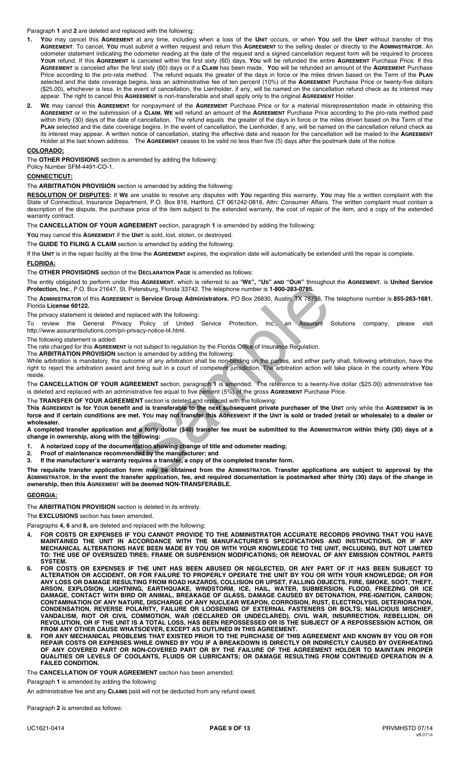Paragraph **1** and **2** are deleted and replaced with the following:

- **1. YOU** may cancel this **AGREEMENT** at any time, including when a loss of the **UNIT** occurs, or when **YOU** sell the **UNIT** without transfer of this **AGREEMENT**. To cancel, **YOU** must submit a written request and return this **AGREEMENT** to the selling dealer or directly to the **ADMINISTRATOR**. An odometer statement indicating the odometer reading at the date of the request and a signed cancellation request form will be required to process **YOUR** refund. If this **AGREEMENT** is canceled within the first sixty (60) days, **YOU** will be refunded the entire **AGREEMENT** Purchase Price. If this **AGREEMENT** is canceled after the first sixty (60) days or if a **CLAIM** has been made, **YOU** will be refunded an amount of the **AGREEMENT** Purchase Price according to the pro-rata method. The refund equals the greater of the days in force or the miles driven based on the Term of the **PLAN** selected and the date coverage begins, less an administrative fee of ten percent (10%) of the **AGREEMENT** Purchase Price or twenty-five dollars (\$25.00), whichever is less. In the event of cancellation, the Lienholder, if any, will be named on the cancellation refund check as its interest may appear. The right to cancel this **AGREEMENT** is non-transferable and shall apply only to the original **AGREEMENT** Holder.
- **2. WE** may cancel this **AGREEMENT** for nonpayment of the **AGREEMENT** Purchase Price or for a material misrepresentation made in obtaining this **AGREEMENT** or in the submission of a **CLAIM. WE** will refund an amount of the **AGREEMENT** Purchase Price according to the pro-rata method paid within thirty (30) days of the date of cancellation. The refund equals the greater of the days in force or the miles driven based on the Term of the **PLAN** selected and the date coverage begins. In the event of cancellation, the Lienholder, if any, will be named on the cancellation refund check as its interest may appear. A written notice of cancellation, stating the effective date and reason for the cancellation will be mailed to the **AGREEMENT** Holder at the last known address. The **AGREEMENT** ceases to be valid no less than five (5) days after the postmark date of the notice.

#### **COLORADO:**

The **OTHER PROVISIONS** section is amended by adding the following:

Policy Number SFM-4491-CO-1.

# **CONNECTICUT:**

The **ARBITRATION PROVISION** section is amended by adding the following:

**RESOLUTION OF DISPUTES:** If **WE** are unable to resolve any disputes with **YOU** regarding this warranty, **YOU** may file a written complaint with the State of Connecticut, Insurance Department, P.O. Box 816, Hartford, CT 061242-0816, Attn: Consumer Affairs. The written complaint must contain a description of the dispute, the purchase price of the item subject to the extended warranty, the cost of repair of the item, and a copy of the extended warranty contract.

The **CANCELLATION OF YOUR AGREEMENT** section, paragraph **1** is amended by adding the following:

**YOU** may cancel this **AGREEMENT** if the **UNIT** is sold, lost, stolen, or destroyed.

The **GUIDE TO FILING A CLAIM** section is amended by adding the following:

If the **UNIT** is in the repair facility at the time the **AGREEMENT** expires, the expiration date will automatically be extended until the repair is complete.

# **FLORIDA:**

The **OTHER PROVISIONS** section of the **DECLARATION PAGE** is amended as follows:

The entity obligated to perform under this **AGREEMENT**, which is referred to as "**WE", "US" AND "OUR"** throughout the **AGREEMENT**, is **United Service Protection, Inc**., P.O. Box 21647, St. Petersburg, Florida 33742. The telephone number is **1-800-283-0785.**

The **ADMINISTRATOR** of this **AGREEMENT** is **Service Group Administrators**, PO Box 26830, Austin, TX 78755, The telephone number is **855-263-1681**, Florida **License 60122.** 

The privacy statement is deleted and replaced with the following:

To review the General Privacy Policy of United Service Protection, Inc., an Assurant Solutions company, please visit http://www.assurantsolutions.com/pri-privacy-notice-t4.html.

The following statement is added:

The rate charged for this **AGREEMENT** is not subject to regulation by the Florida Office of Insurance Regulation.

The **ARBITRATION PROVISION** section is amended by adding the following:

While arbitration is mandatory, the outcome of any arbitration shall be non-binding on the parties, and either party shall, following arbitration, have the right to reject the arbitration award and bring suit in a court of competent jurisdiction. The arbitration action will take place in the county where **YOU** reside.

The **CANCELLATION OF YOUR AGREEMENT** section, paragraph **1** is amended. The reference to a twenty-five dollar (\$25.00) administrative fee is deleted and replaced with an administrative fee equal to five percent (5%) of the gross **AGREEMENT** Purchase Price.

The **TRANSFER OF YOUR AGREEMENT** section is deleted and replaced with the following:

**This AGREEMENT is for YOUR benefit and is transferable to the next subsequent private purchaser of the UNIT** only while the **AGREEMENT is in force and if certain conditions are met. YOU may not transfer this AGREEMENT if the UNIT is sold or traded (retail or wholesale) to a dealer or wholesaler.**  Petersburg, Florida 33742. The telephone number is 1-800-283-0785.<br>
INT is Service Group Administrators, PO Box 26830, Austin, TX 78755, The<br>
replaced with the following:<br>
cy Policy of United Service Protection, Inc., an A

**A completed transfer application and a forty dollar (\$40) transfer fee must be submitted to the ADMINISTRATOR within thirty (30) days of a change in ownership, along with the following:** 

- **1. A notarized copy of the documentation showing change of title and odometer reading;**
- **2. Proof of maintenance recommended by the manufacturer; and**
- **3. If the manufacturer's warranty requires a transfer, a copy of the completed transfer form.**

**The requisite transfer application form may be obtained from the ADMINISTRATOR. Transfer applications are subject to approval by the ADMINISTRATOR. In the event the transfer application, fee, and required documentation is postmarked after thirty (30) days of the change in ownership, then this AGREEMEN**T **will be deemed NON-TRANSFERABLE.** 

#### **GEORGIA:**

The **ARBITRATION PROVISION** section is deleted in its entirety.

The **EXCLUSIONS** section has been amended.

Paragraphs **4, 6** and **8,** are deleted and replaced with the following:

- **4. FOR COSTS OR EXPENSES IF YOU CANNOT PROVIDE TO THE ADMINISTRATOR ACCURATE RECORDS PROVING THAT YOU HAVE MAINTAINED THE UNIT IN ACCORDANCE WITH THE MANUFACTURER'S SPECIFICATIONS AND INSTRUCTIONS, OR IF ANY MECHANICAL ALTERATIONS HAVE BEEN MADE BY YOU OR WITH YOUR KNOWLEDGE TO THE UNIT, INCLUDING, BUT NOT LIMITED TO: THE USE OF OVERSIZED TIRES; FRAME OR SUSPENSION MODIFICATIONS; OR REMOVAL OF ANY EMISSION CONTROL PARTS SYSTEM.**
- **6. FOR COSTS OR EXPENSES IF THE UNIT HAS BEEN ABUSED OR NEGLECTED, OR ANY PART OF IT HAS BEEN SUBJECT TO ALTERATION OR ACCIDENT, OR FOR FAILURE TO PROPERLY OPERATE THE UNIT BY YOU OR WITH YOUR KNOWLEDGE; OR FOR ANY LOSS OR DAMAGE RESULTING FROM ROAD HAZARDS, COLLISION OR UPSET, FALLING OBJECTS, FIRE, SMOKE, SOOT, THEFT, ARSON, EXPLOSION, LIGHTNING, EARTHQUAKE, WINDSTORM, ICE, HAIL, WATER, SUBMERSION, FLOOD, FREEZING OR ICE DAMAGE, CONTACT WITH BIRD OR ANIMAL, BREAKAGE OF GLASS, DAMAGE CAUSED BY DETONATION, PRE-IGNITION, CARBON; CONTAMINATION OF ANY NATURE, DISCHARGE OF ANY NUCLEAR WEAPON, CORROSION, RUST, ELECTROLYSIS, DETERIORATION, CONDENSATION, REVERSE POLARITY, FAILURE OR LOOSENING OF EXTERNAL FASTENERS OR BOLTS; MALICIOUS MISCHIEF, VANDALISM, RIOT OR CIVIL COMMOTION, WAR (DECLARED OR UNDECLARED), CIVIL WAR, INSURRECTION, REBELLION, OR REVOLUTION, OR IF THE UNIT IS A TOTAL LOSS, HAS BEEN REPOSSESSED OR IS THE SUBJECT OF A REPOSSESSION ACTION, OR FROM ANY OTHER CAUSE WHATSOEVER, EXCEPT AS OUTLINED IN THIS AGREEMENT.**
- **8. FOR ANY MECHANICAL PROBLEMS THAT EXISTED PRIOR TO THE PURCHASE OF THIS AGREEMENT AND KNOWN BY YOU OR FOR REPAIR COSTS OR EXPENSES WHILE OWNED BY YOU IF A BREAKDOWN IS DIRECTLY OR INDIRECTLY CAUSED BY OVERHEATING OF ANY COVERED PART OR NON-COVERED PART OR BY THE FAILURE OF THE AGREEMENT HOLDER TO MAINTAIN PROPER QUALITIES OR LEVELS OF COOLANTS, FLUIDS OR LUBRICANTS; OR DAMAGE RESULTING FROM CONTINUED OPERATION IN A FAILED CONDITION.**

The **CANCELLATION OF YOUR AGREEMENT** section has been amended:

Paragraph **1** is amended by adding the following:

An administrative fee and any **CLAIMS** paid will not be deducted from any refund owed.

Paragraph **2** is amended as follows: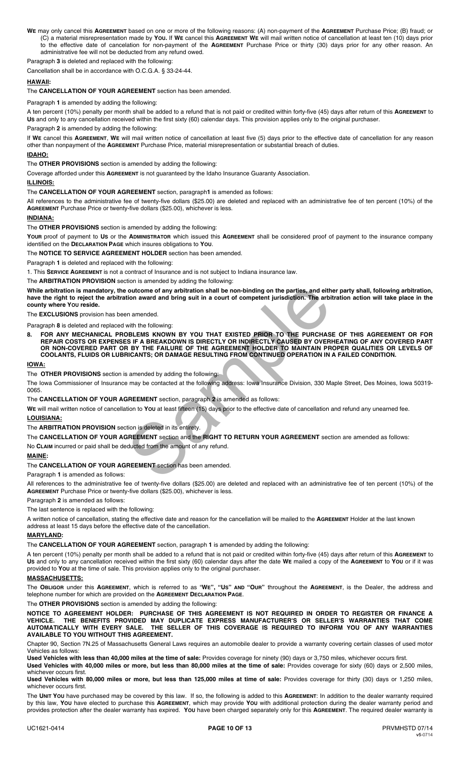**WE** may only cancel this **AGREEMENT** based on one or more of the following reasons: (A) non-payment of the **AGREEMENT** Purchase Price; (B) fraud; or (C) a material misrepresentation made by **YOU.** If **WE** cancel this **AGREEMENT WE** will mail written notice of cancellation at least ten (10) days prior to the effective date of cancelation for non-payment of the **AGREEMENT** Purchase Price or thirty (30) days prior for any other reason. An administrative fee will not be deducted from any refund owed.

Paragraph **3** is deleted and replaced with the following:

Cancellation shall be in accordance with O.C.G.A. § 33-24-44.

### **HAWAII:**

#### The **CANCELLATION OF YOUR AGREEMENT** section has been amended.

Paragraph **1** is amended by adding the following:

A ten percent (10%) penalty per month shall be added to a refund that is not paid or credited within forty-five (45) days after return of this **AGREEMENT** to **US** and only to any cancellation received within the first sixty (60) calendar days. This provision applies only to the original purchaser.

Paragraph **2** is amended by adding the following:

If **WE** cancel this **AGREEMENT**, **WE** will mail written notice of cancellation at least five (5) days prior to the effective date of cancellation for any reason other than nonpayment of the **AGREEMENT** Purchase Price, material misrepresentation or substantial breach of duties.

#### **IDAHO:**

The **OTHER PROVISIONS** section is amended by adding the following:

Coverage afforded under this **AGREEMENT** is not guaranteed by the Idaho Insurance Guaranty Association.

#### **ILLINOIS:**  The **CANCELLATION OF YOUR AGREEMENT** section, paragraph**1** is amended as follows:

All references to the administrative fee of twenty-five dollars (\$25.00) are deleted and replaced with an administrative fee of ten percent (10%) of the **AGREEMENT** Purchase Price or twenty-five dollars (\$25.00), whichever is less.

#### **INDIANA:**

The **OTHER PROVISIONS** section is amended by adding the following:

**YOUR** proof of payment to **US** or the **ADMINISTRATOR** which issued this **AGREEMENT** shall be considered proof of payment to the insurance company identified on the **DECLARATION PAGE** which insures obligations to **YOU**.

The **NOTICE TO SERVICE AGREEMENT HOLDER** section has been amended.

Paragraph **1** is deleted and replaced with the following:

1. This **SERVICE AGREEMENT** is not a contract of Insurance and is not subject to Indiana insurance law.

The **ARBITRATION PROVISION** section is amended by adding the following:

**While arbitration is mandatory, the outcome of any arbitration shall be non-binding on the parties, and either party shall, following arbitration, have the right to reject the arbitration award and bring suit in a court of competent jurisdiction. The arbitration action will take place in the county where YOU reside.** 

The **EXCLUSIONS** provision has been amended.

Paragraph **8** is deleted and replaced with the following:

**8. FOR ANY MECHANICAL PROBLEMS KNOWN BY YOU THAT EXISTED PRIOR TO THE PURCHASE OF THIS AGREEMENT OR FOR REPAIR COSTS OR EXPENSES IF A BREAKDOWN IS DIRECTLY OR INDIRECTLY CAUSED BY OVERHEATING OF ANY COVERED PART OR NON-COVERED PART OR BY THE FAILURE OF THE AGREEMENT HOLDER TO MAINTAIN PROPER QUALITIES OR LEVELS OF COOLANTS, FLUIDS OR LUBRICANTS; OR DAMAGE RESULTING FROM CONTINUED OPERATION IN A FAILED CONDITION.**  outcome of any arbitration shall be non-binding on the parties, and eith<br>tion award and bring suit in a court of competent jurisdiction. The arbitral<br>enamended.<br>With the following:<br>DBLEMS KNOWN BY YOU THAT EXISTED PRIOR TO

#### **IOWA:**

The **OTHER PROVISIONS** section is amended by adding the following:

The Iowa Commissioner of Insurance may be contacted at the following address: Iowa Insurance Division, 330 Maple Street, Des Moines, Iowa 50319- 0065.

#### The **CANCELLATION OF YOUR AGREEMENT** section, paragraph **2** is amended as follows:

**WE** will mail written notice of cancellation to **YOU** at least fifteen (15) days prior to the effective date of cancellation and refund any unearned fee. **LOUISIANA:** 

The **ARBITRATION PROVISION** section is deleted in its entirety.

The **CANCELLATION OF YOUR AGREEMENT** section and the **RIGHT TO RETURN YOUR AGREEMENT** section are amended as follows:

No **CLAIM** incurred or paid shall be deducted from the amount of any refund*.*

#### **MAINE:**

#### The **CANCELLATION OF YOUR AGREEMENT** section has been amended.

Paragraph **1** is amended as follows:

All references to the administrative fee of twenty-five dollars (\$25.00) are deleted and replaced with an administrative fee of ten percent (10%) of the **AGREEMENT** Purchase Price or twenty-five dollars (\$25.00), whichever is less.

Paragraph **2** is amended as follows:

The last sentence is replaced with the following:

A written notice of cancellation, stating the effective date and reason for the cancellation will be mailed to the **AGREEMENT** Holder at the last known address at least 15 days before the effective date of the cancellation.

#### **MARYLAND:**

The **CANCELLATION OF YOUR AGREEMENT** section, paragraph **1** is amended by adding the following:

A ten percent (10%) penalty per month shall be added to a refund that is not paid or credited within forty-five (45) days after return of this **AGREEMENT** to **US** and only to any cancellation received within the first sixty (60) calendar days after the date **WE** mailed a copy of the **AGREEMENT** to **YOU** or if it was provided to **YOU** at the time of sale. This provision applies only to the original purchaser.

#### **MASSACHUSETTS:**

The **OBLIGOR** under this **AGREEMENT**, which is referred to as "**WE", "US" AND "OUR"** throughout the **AGREEMENT**, is the Dealer, the address and telephone number for which are provided on the **AGREEMENT DECLARATION PAGE**.

The **OTHER PROVISIONS** section is amended by adding the following:

**NOTICE TO AGREEMENT HOLDER: PURCHASE OF THIS AGREEMENT IS NOT REQUIRED IN ORDER TO REGISTER OR FINANCE A VEHICLE. THE BENEFITS PROVIDED MAY DUPLICATE EXPRESS MANUFACTURER'S OR SELLER'S WARRANTIES THAT COME AUTOMATICALLY WITH EVERY SALE. THE SELLER OF THIS COVERAGE IS REQUIRED TO INFORM YOU OF ANY WARRANTIES AVAILABLE TO YOU WITHOUT THIS AGREEMENT.** 

Chapter 90, Section 7N.25 of Massachusetts General Laws requires an automobile dealer to provide a warranty covering certain classes of used motor Vehicles as follows:

**Used Vehicles with less than 40,000 miles at the time of sale:** Provides coverage for ninety (90) days or 3,750 miles, whichever occurs first.

**Used Vehicles with 40,000 miles or more, but less than 80,000 miles at the time of sale:** Provides coverage for sixty (60) days or 2,500 miles, whichever occurs first.

**Used Vehicles with 80,000 miles or more, but less than 125,000 miles at time of sale:** Provides coverage for thirty (30) days or 1,250 miles, whichever occurs first.

The **UNIT YOU** have purchased may be covered by this law. If so, the following is added to this **AGREEMENT**: In addition to the dealer warranty required by this law, **YOU** have elected to purchase this **AGREEMENT**, which may provide **YOU** with additional protection during the dealer warranty period and provides protection after the dealer warranty has expired. **YOU** have been charged separately only for this **AGREEMENT**. The required dealer warranty is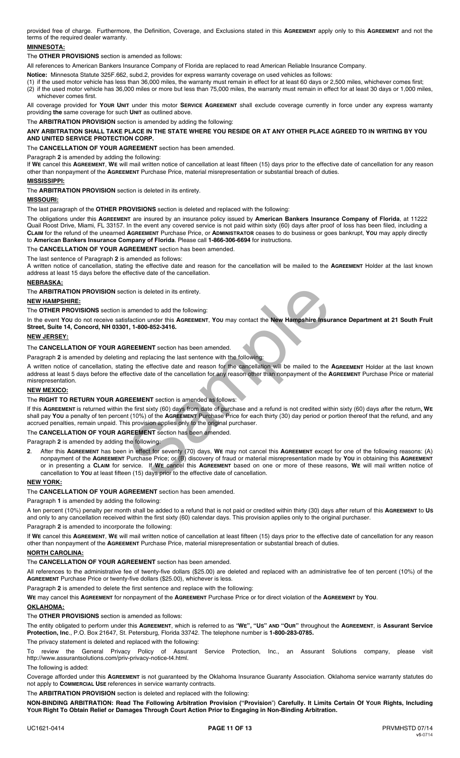provided free of charge. Furthermore, the Definition, Coverage, and Exclusions stated in this **AGREEMENT** apply only to this **AGREEMENT** and not the terms of the required dealer warranty.

## **MINNESOTA:**

The **OTHER PROVISIONS** section is amended as follows:

All references to American Bankers Insurance Company of Florida are replaced to read American Reliable Insurance Company.

**Notice:** Minnesota Statute 325F.662, subd.2, provides for express warranty coverage on used vehicles as follows:

(1) if the used motor vehicle has less than 36,000 miles, the warranty must remain in effect for at least 60 days or 2,500 miles, whichever comes first; (2) if the used motor vehicle has 36,000 miles or more but less than 75,000 miles, the warranty must remain in effect for at least 30 days or 1,000 miles, whichever comes first.

All coverage provided for **YOUR UNIT** under this motor **SERVICE AGREEMENT** shall exclude coverage currently in force under any express warranty providing **the** same coverage for such **UNIT** as outlined above.

The **ARBITRATION PROVISION** section is amended by adding the following:

#### **ANY ARBITRATION SHALL TAKE PLACE IN THE STATE WHERE YOU RESIDE OR AT ANY OTHER PLACE AGREED TO IN WRITING BY YOU AND UNITED SERVICE PROTECTION CORP.**

The **CANCELLATION OF YOUR AGREEMENT** section has been amended.

Paragraph **2** is amended by adding the following:

If **WE** cancel this **AGREEMENT**, **WE** will mail written notice of cancellation at least fifteen (15) days prior to the effective date of cancellation for any reason other than nonpayment of the **AGREEMENT** Purchase Price, material misrepresentation or substantial breach of duties.

#### **MISSISSIPPI:**

The **ARBITRATION PROVISION** section is deleted in its entirety.

## **MISSOURI:**

The last paragraph of the **OTHER PROVISIONS** section is deleted and replaced with the following:

The obligations under this **AGREEMENT** are insured by an insurance policy issued by **American Bankers Insurance Company of Florida**, at 11222 Quail Roost Drive, Miami, FL 33157. In the event any covered service is not paid within sixty (60) days after proof of loss has been filed, including a **CLAIM** for the refund of the unearned **AGREEMENT** Purchase Price, or **ADMINISTRATOR** ceases to do business or goes bankrupt, **YOU** may apply directly to **American Bankers Insurance Company of Florida**. Please call **1-866-306-6694** for instructions.

The **CANCELLATION OF YOUR AGREEMENT** section has been amended.

The last sentence of Paragraph **2** is amended as follows:

A written notice of cancellation, stating the effective date and reason for the cancellation will be mailed to the **AGREEMENT** Holder at the last known address at least 15 days before the effective date of the cancellation.

#### **NEBRASKA:**

The **ARBITRATION PROVISION** section is deleted in its entirety.

#### **NEW HAMPSHIRE:**

The **OTHER PROVISIONS** section is amended to add the following:

In the event **YOU** do not receive satisfaction under this **AGREEMENT**, **YOU** may contact the **New Hampshire Insurance Department at 21 South Fruit Street, Suite 14, Concord, NH 03301, 1-800-852-3416.**

#### **NEW JERSEY:**

The **CANCELLATION OF YOUR AGREEMENT** section has been amended.

Paragraph **2** is amended by deleting and replacing the last sentence with the following:

A written notice of cancellation, stating the effective date and reason for the cancellation will be mailed to the **AGREEMENT** Holder at the last known address at least 5 days before the effective date of the cancellation for any reason other than nonpayment of the **AGREEMENT** Purchase Price or material misrepresentation.

#### **NEW MEXICO:**

The **RIGHT TO RETURN YOUR AGREEMENT** section is amended as follows:

If this **AGREEMENT** is returned within the first sixty (60) days from date of purchase and a refund is not credited within sixty (60) days after the return**, WE** shall pay **YOU** a penalty of ten percent (10%) of the **AGREEMENT** Purchase Price for each thirty (30) day period or portion thereof that the refund, and any accrued penalties, remain unpaid. This provision applies only to the original purchaser.

# The **CANCELLATION OF YOUR AGREEMENT** section has been amended.

Paragraph **2** is amended by adding the following:

**2**. After this **AGREEMENT** has been in effect for seventy (70) days, **WE** may not cancel this **AGREEMENT** except for one of the following reasons: (A) nonpayment of the **AGREEMENT** Purchase Price; or (B) discovery of fraud or material misrepresentation made by **YOU** in obtaining this **AGREEMENT** or in presenting a **CLAIM** for service. If **WE** cancel this **AGREEMENT** based on one or more of these reasons, **WE** will mail written notice of cancellation to **YOU** at least fifteen (15) days prior to the effective date of cancellation. citon is deleted in its entirety.<br>
amended to add the following:<br>
Sfaction under this AGREEMENT, You may contact the New Hampshire Insur<br>
1, 1-800-852-3416.<br>
IREEMENT section has been amended.<br>
and replacing the last sente

#### **NEW YORK:**

The **CANCELLATION OF YOUR AGREEMENT** section has been amended.

#### Paragraph **1** is amended by adding the following:

A ten percent (10%) penalty per month shall be added to a refund that is not paid or credited within thirty (30) days after return of this **AGREEMENT** to **US** and only to any cancellation received within the first sixty (60) calendar days. This provision applies only to the original purchaser.

Paragraph **2** is amended to incorporate the following:

If **WE** cancel this **AGREEMENT**, **WE** will mail written notice of cancellation at least fifteen (15) days prior to the effective date of cancellation for any reason other than nonpayment of the **AGREEMENT** Purchase Price, material misrepresentation or substantial breach of duties.

#### **NORTH CAROLINA:**

#### The **CANCELLATION OF YOUR AGREEMENT** section has been amended.

All references to the administrative fee of twenty-five dollars (\$25.00) are deleted and replaced with an administrative fee of ten percent (10%) of the **AGREEMENT** Purchase Price or twenty-five dollars (\$25.00), whichever is less.

Paragraph **2** is amended to delete the first sentence and replace with the following:

**WE** may cancel this **AGREEMENT** for nonpayment of the **AGREEMENT** Purchase Price or for direct violation of the **AGREEMENT** by **YOU**.

#### **OKLAHOMA:**

The **OTHER PROVISIONS** section is amended as follows:

The entity obligated to perform under this **AGREEMENT**, which is referred to as "**WE", "US" AND "OUR"** throughout the **AGREEMENT**, is **Assurant Service Protection, Inc**., P.O. Box 21647, St. Petersburg, Florida 33742. The telephone number is **1-800-283-0785.**

The privacy statement is deleted and replaced with the following:

review the General Privacy Policy of Assurant Service Protection, Inc., an Assurant Solutions company, please visit http://www.assurantsolutions.com/priv-privacy-notice-t4.html.

# The following is added:

Coverage afforded under this **AGREEMENT** is not guaranteed by the Oklahoma Insurance Guaranty Association. Oklahoma service warranty statutes do not apply to **COMMERCIAL USE** references in service warranty contracts.

The **ARBITRATION PROVISION** section is deleted and replaced with the following:

**NON-BINDING ARBITRATION: Read The Following Arbitration Provision ("Provision**") **Carefully. It Limits Certain Of YOUR Rights, Including YOUR Right To Obtain Relief or Damages Through Court Action Prior to Engaging in Non-Binding Arbitration.**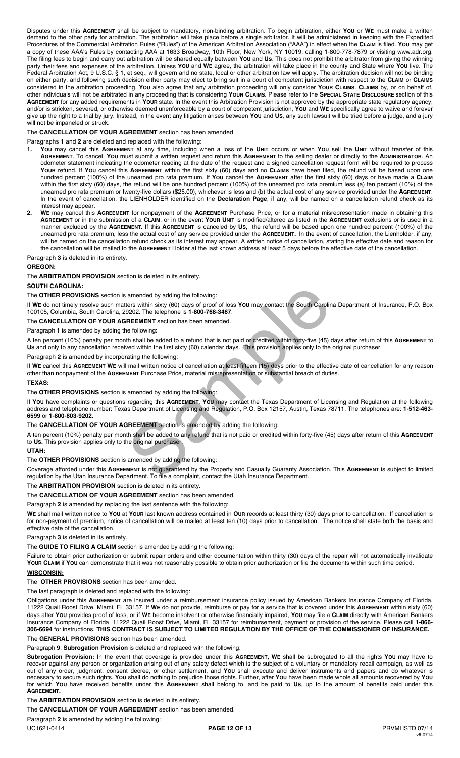Disputes under this **AGREEMENT** shall be subject to mandatory, non-binding arbitration. To begin arbitration, either **YOU** or **WE** must make a written demand to the other party for arbitration. The arbitration will take place before a single arbitrator. It will be administered in keeping with the Expedited Procedures of the Commercial Arbitration Rules ("Rules") of the American Arbitration Association ("AAA") in effect when the **CLAIM** is filed. **YOU** may get a copy of these AAA's Rules by contacting AAA at 1633 Broadway, 10th Floor, New York, NY 10019, calling 1-800-778-7879 or visiting www.adr.org. The filing fees to begin and carry out arbitration will be shared equally between **YOU** and **Us**. This does not prohibit the arbitrator from giving the winning party their fees and expenses of the arbitration. Unless **YOU** and **WE** agree, the arbitration will take place in the county and State where **YOU** live. The Federal Arbitration Act, 9 U.S.C. § 1, et seq., will govern and no state, local or other arbitration law will apply. The arbitration decision will not be binding on either party, and following such decision either party may elect to bring suit in a court of competent jurisdiction with respect to the **CLAIM** or **CLAIMS** considered in the arbitration proceeding. **YOU** also agree that any arbitration proceeding will only consider **YOUR CLAIMS**. **CLAIMS** by, or on behalf of, other individuals will not be arbitrated in any proceeding that is considering **YOUR CLAIMS**. Please refer to the **SPECIAL STATE DISCLOSURE** section of this **AGREEMENT** for any added requirements in **YOUR** state. In the event this Arbitration Provision is not approved by the appropriate state regulatory agency, and/or is stricken, severed, or otherwise deemed unenforceable by a court of competent jurisdiction, **YOU** and **WE** specifically agree to waive and forever give up the right to a trial by jury. Instead, in the event any litigation arises between **YOU** and **US**, any such lawsuit will be tried before a judge, and a jury will not be impaneled or struck.

#### The **CANCELLATION OF YOUR AGREEMENT** section has been amended.

#### Paragraphs **1** and **2** are deleted and replaced with the following:

- **1. YOU** may cancel this **AGREEMENT** at any time, including when a loss of the **UNIT** occurs or when **YOU** sell the **UNIT** without transfer of this **AGREEMENT**. To cancel, **YOU** must submit a written request and return this **AGREEMENT** to the selling dealer or directly to the **ADMINISTRATOR**. An odometer statement indicating the odometer reading at the date of the request and a signed cancellation request form will be required to process **YOUR** refund. If **YOU** cancel this **AGREEMENT** within the first sixty (60) days and no **CLAIMS** have been filed, the refund will be based upon one hundred percent (100%) of the unearned pro rata premium. If **YOU** cancel the **AGREEMENT** after the first sixty (60) days or have made a **CLAIM** within the first sixty (60) days, the refund will be one hundred percent (100%) of the unearned pro rata premium less (a) ten percent (10%) of the unearned pro rata premium or twenty-five dollars (\$25.00), whichever is less and (b) the actual cost of any service provided under the **AGREEMENT**. In the event of cancellation, the LIENHOLDER identified on the **Declaration Page**, if any, will be named on a cancellation refund check as its interest may appear.
- **2. WE** may cancel this **AGREEMENT** for nonpayment of the **AGREEMENT** Purchase Price, or for a material misrepresentation made in obtaining this **AGREEMENT** or in the submission of a **CLAIM**, or in the event **YOUR UNIT** is modified/altered as listed in the **AGREEMENT** exclusions or is used in a manner excluded by the **AGREEMENT**. If this **AGREEMENT** is canceled by **US,** the refund will be based upon one hundred percent (100%) of the unearned pro rata premium, less the actual cost of any service provided under the **AGREEMENT.** In the event of cancellation, the Lienholder, if any, will be named on the cancellation refund check as its interest may appear. A written notice of cancellation, stating the effective date and reason for the cancellation will be mailed to the **AGREEMENT** Holder at the last known address at least 5 days before the effective date of the cancellation.

Paragraph **3** is deleted in its entirety.

#### **OREGON:**

The **ARBITRATION PROVISION** section is deleted in its entirety.

#### **SOUTH CAROLINA:**

The **OTHER PROVISIONS** section is amended by adding the following:

If **WE** do not timely resolve such matters within sixty (60) days of proof of loss **YOU** may contact the South Carolina Department of Insurance, P.O. Box 100105, Columbia, South Carolina, 29202. The telephone is **1-800-768-3467**.

#### The **CANCELLATION OF YOUR AGREEMENT** section has been amended.

Paragraph **1** is amended by adding the following:

A ten percent (10%) penalty per month shall be added to a refund that is not paid or credited within forty-five (45) days after return of this **AGREEMENT** to **US** and only to any cancellation received within the first sixty (60) calendar days. This provision applies only to the original purchaser.

Paragraph **2** is amended by incorporating the following:

If **WE** cancel this **AGREEMENT WE** will mail written notice of cancellation at least fifteen (15) days prior to the effective date of cancellation for any reason other than nonpayment of the **AGREEMENT** Purchase Price, material misrepresentation or substantial breach of duties.

#### **TEXAS:**

The **OTHER PROVISIONS** section is amended by adding the following:

If **YOU** have complaints or questions regarding this **AGREEMENT**, **YOU** may contact the Texas Department of Licensing and Regulation at the following address and telephone number: Texas Department of Licensing and Regulation, P.O. Box 12157, Austin, Texas 78711. The telephones are: **1-512-463- 6599** or **1-800-803-9202**. amended by adding the following:<br>ters within sixty (60) days of proof of loss You may contact the South Carolin<br>9202. The telephone is 1-800-768-3467.<br>REEMENT section has been amended.<br>the hall be added to a refund that is

# The **CANCELLATION OF YOUR AGREEMENT** section is amended by adding the following:

A ten percent (10%) penalty per month shall be added to any refund that is not paid or credited within forty-five (45) days after return of this **AGREEMENT** to **US.** This provision applies only to the original purchaser.

#### **UTAH:**

The **OTHER PROVISIONS** section is amended by adding the following:

Coverage afforded under this **AGREEMENT** is not guaranteed by the Property and Casualty Guaranty Association. This **AGREEMENT** is subject to limited regulation by the Utah Insurance Department. To file a complaint, contact the Utah Insurance Department.

The **ARBITRATION PROVISION** section is deleted in its entirety.

#### The **CANCELLATION OF YOUR AGREEMENT** section has been amended.

Paragraph **2** is amended by replacing the last sentence with the following:

**WE** shall mail written notice to **YOU** at **YOUR** last known address contained in **OUR** records at least thirty (30) days prior to cancellation. If cancellation is for non-payment of premium, notice of cancellation will be mailed at least ten (10) days prior to cancellation. The notice shall state both the basis and effective date of the cancellation.

# Paragraph **3** is deleted in its entirety.

The **GUIDE TO FILING A CLAIM** section is amended by adding the following:

Failure to obtain prior authorization or submit repair orders and other documentation within thirty (30) days of the repair will not automatically invalidate **YOUR CLAIM** if **YOU** can demonstrate that it was not reasonably possible to obtain prior authorization or file the documents within such time period. **WISCONSIN:** 

# The **OTHER PROVISIONS** section has been amended.

The last paragraph is deleted and replaced with the following:

Obligations under this **AGREEMENT** are insured under a reimbursement insurance policy issued by American Bankers Insurance Company of Florida, 11222 Quail Roost Drive, Miami, FL 33157. If **WE** do not provide, reimburse or pay for a service that is covered under this **AGREEMENT** within sixty (60) days after **YOU** provides proof of loss, or if **WE** become insolvent or otherwise financially impaired, **YOU** may file a **CLAIM** directly with American Bankers Insurance Company of Florida, 11222 Quail Roost Drive, Miami, FL 33157 for reimbursement, payment or provision of the service. Please call **1-866- 306-6694** for instructions. **THIS CONTRACT IS SUBJECT TO LIMITED REGULATION BY THE OFFICE OF THE COMMISSIONER OF INSURANCE.** 

The **GENERAL PROVISIONS** section has been amended.

#### Paragraph **9**. **Subrogation Provision** is deleted and replaced with the following:

 **Subrogation Provision:** In the event that coverage is provided under this **AGREEMENT, WE** shall be subrogated to all the rights **YOU** may have to recover against any person or organization arising out of any safety defect which is the subject of a voluntary or mandatory recall campaign, as well as out of any order, judgment, consent decree, or other settlement, and **YOU** shall execute and deliver instruments and papers and do whatever is necessary to secure such rights. **YOU** shall do nothing to prejudice those rights. Further, after **YOU** have been made whole all amounts recovered by **YOU** for which **YOU** have received benefits under this **AGREEMENT** shall belong to, and be paid to **US**, up to the amount of benefits paid under this **AGREEMENT.**

# The **ARBITRATION PROVISION** section is deleted in its entirety.

The **CANCELLATION OF YOUR AGREEMENT** section has been amended.

Paragraph **2** is amended by adding the following: